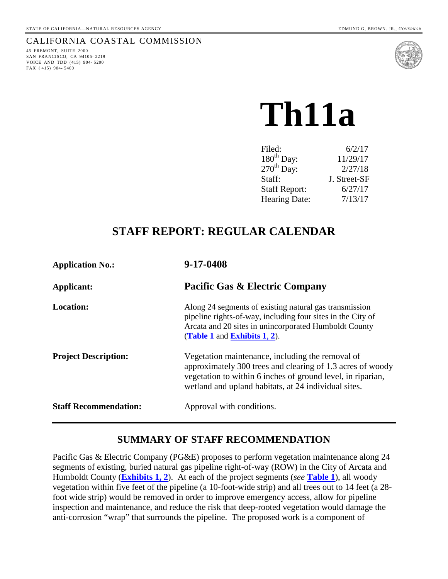# CALIFORNIA COASTAL COMMISSION

45 FREMONT, SUITE 2000 SAN FRANCISCO, CA 94105- 2219 VOICE AND TDD (415) 904- 5200 FAX ( 415) 904- 5400



# **Th11a**

| Filed:                 | 6/2/17       |
|------------------------|--------------|
| 180 <sup>th</sup> Day: | 11/29/17     |
| $270th$ Day:           | 2/27/18      |
| Staff:                 | J. Street-SF |
| <b>Staff Report:</b>   | 6/27/17      |
| <b>Hearing Date:</b>   | 7/13/17      |

# **STAFF REPORT: REGULAR CALENDAR**

| <b>Application No.:</b>      | 9-17-0408                                                                                                                                                                                                                             |
|------------------------------|---------------------------------------------------------------------------------------------------------------------------------------------------------------------------------------------------------------------------------------|
| Applicant:                   | <b>Pacific Gas &amp; Electric Company</b>                                                                                                                                                                                             |
| <b>Location:</b>             | Along 24 segments of existing natural gas transmission<br>pipeline rights-of-way, including four sites in the City of<br>Arcata and 20 sites in unincorporated Humboldt County<br>(Table 1 and Exhibits 1, 2).                        |
| <b>Project Description:</b>  | Vegetation maintenance, including the removal of<br>approximately 300 trees and clearing of 1.3 acres of woody<br>vegetation to within 6 inches of ground level, in riparian,<br>wetland and upland habitats, at 24 individual sites. |
| <b>Staff Recommendation:</b> | Approval with conditions.                                                                                                                                                                                                             |

# **SUMMARY OF STAFF RECOMMENDATION**

Pacific Gas & Electric Company (PG&E) proposes to perform vegetation maintenance along 24 segments of existing, buried natural gas pipeline right-of-way (ROW) in the City of Arcata and Humboldt County (**[Exhibits 1, 2](https://documents.coastal.ca.gov/reports/2017/7/th11a/th11a-7-2017-exhibits.pdf)**). At each of the project segments (*see* **[Table 1](#page-10-0)**), all woody vegetation within five feet of the pipeline (a 10-foot-wide strip) and all trees out to 14 feet (a 28 foot wide strip) would be removed in order to improve emergency access, allow for pipeline inspection and maintenance, and reduce the risk that deep-rooted vegetation would damage the anti-corrosion "wrap" that surrounds the pipeline. The proposed work is a component of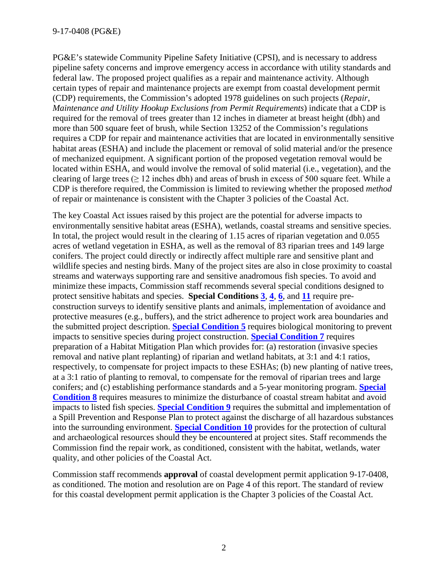PG&E's statewide Community Pipeline Safety Initiative (CPSI), and is necessary to address pipeline safety concerns and improve emergency access in accordance with utility standards and federal law. The proposed project qualifies as a repair and maintenance activity. Although certain types of repair and maintenance projects are exempt from coastal development permit (CDP) requirements, the Commission's adopted 1978 guidelines on such projects (*Repair, Maintenance and Utility Hookup Exclusions from Permit Requirements*) indicate that a CDP is required for the removal of trees greater than 12 inches in diameter at breast height (dbh) and more than 500 square feet of brush, while Section 13252 of the Commission's regulations requires a CDP for repair and maintenance activities that are located in environmentally sensitive habitat areas (ESHA) and include the placement or removal of solid material and/or the presence of mechanized equipment. A significant portion of the proposed vegetation removal would be located within ESHA, and would involve the removal of solid material (i.e., vegetation), and the clearing of large trees ( $\geq 12$  inches dbh) and areas of brush in excess of 500 square feet. While a CDP is therefore required, the Commission is limited to reviewing whether the proposed *method*  of repair or maintenance is consistent with the Chapter 3 policies of the Coastal Act.

The key Coastal Act issues raised by this project are the potential for adverse impacts to environmentally sensitive habitat areas (ESHA), wetlands, coastal streams and sensitive species. In total, the project would result in the clearing of 1.15 acres of riparian vegetation and 0.055 acres of wetland vegetation in ESHA, as well as the removal of 83 riparian trees and 149 large conifers. The project could directly or indirectly affect multiple rare and sensitive plant and wildlife species and nesting birds. Many of the project sites are also in close proximity to coastal streams and waterways supporting rare and sensitive anadromous fish species. To avoid and minimize these impacts, Commission staff recommends several special conditions designed to protect sensitive habitats and species. **Special Conditions [3](#page-4-0)**, **[4](#page-5-0)**, **[6](#page-6-0)**, and **[11](#page-8-0)** require preconstruction surveys to identify sensitive plants and animals, implementation of avoidance and protective measures (e.g., buffers), and the strict adherence to project work area boundaries and the submitted project description. **[Special Condition 5](#page-6-1)** requires biological monitoring to prevent impacts to sensitive species during project construction. **[Special Condition 7](#page-6-2)** requires preparation of a Habitat Mitigation Plan which provides for: (a) restoration (invasive species removal and native plant replanting) of riparian and wetland habitats, at 3:1 and 4:1 ratios, respectively, to compensate for project impacts to these ESHAs; (b) new planting of native trees, at a 3:1 ratio of planting to removal, to compensate for the removal of riparian trees and large conifers; and (c) establishing performance standards and a 5-year monitoring program. **[Special](#page-7-0)  [Condition 8](#page-7-0)** requires measures to minimize the disturbance of coastal stream habitat and avoid impacts to listed fish species. **[Special Condition 9](#page-8-1)** requires the submittal and implementation of a Spill Prevention and Response Plan to protect against the discharge of all hazardous substances into the surrounding environment. **[Special Condition 10](#page-8-2)** provides for the protection of cultural and archaeological resources should they be encountered at project sites. Staff recommends the Commission find the repair work, as conditioned, consistent with the habitat, wetlands, water quality, and other policies of the Coastal Act.

Commission staff recommends **approval** of coastal development permit application 9-17-0408, as conditioned. The motion and resolution are on Page 4 of this report. The standard of review for this coastal development permit application is the Chapter 3 policies of the Coastal Act.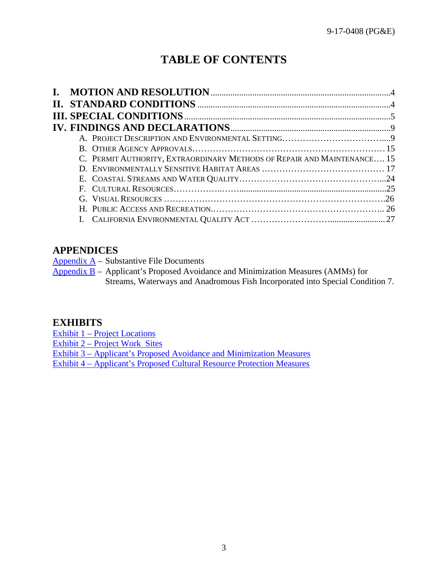# **TABLE OF CONTENTS**

|  | C. PERMIT AUTHORITY, EXTRAORDINARY METHODS OF REPAIR AND MAINTENANCE 15 |  |
|--|-------------------------------------------------------------------------|--|
|  |                                                                         |  |
|  |                                                                         |  |
|  |                                                                         |  |
|  |                                                                         |  |
|  |                                                                         |  |
|  |                                                                         |  |
|  |                                                                         |  |

# **APPENDICES**

[Appendix A](#page-27-0) – Substantive File Documents

Appendix  $\overline{B}$  – Applicant's Proposed Avoidance and Minimization Measures (AMMs) for Streams, Waterways and Anadromous Fish Incorporated into Special Condition 7.

# **EXHIBITS**

Exhibit 1 – [Project Locations](https://documents.coastal.ca.gov/reports/2017/7/th11a/th11a-7-2017-exhibits.pdf) Exhibit 2 – [Project Work](https://documents.coastal.ca.gov/reports/2017/7/th11a/th11a-7-2017-exhibits.pdf) Sites Exhibit 3 – [Applicant's Proposed Avoidance and Minimization Measures](https://documents.coastal.ca.gov/reports/2017/7/th11a/th11a-7-2017-exhibits.pdf) Exhibit 4 – [Applicant's Proposed Cultural Resource Protection Measures](https://documents.coastal.ca.gov/reports/2017/7/th11a/th11a-7-2017-exhibits.pdf)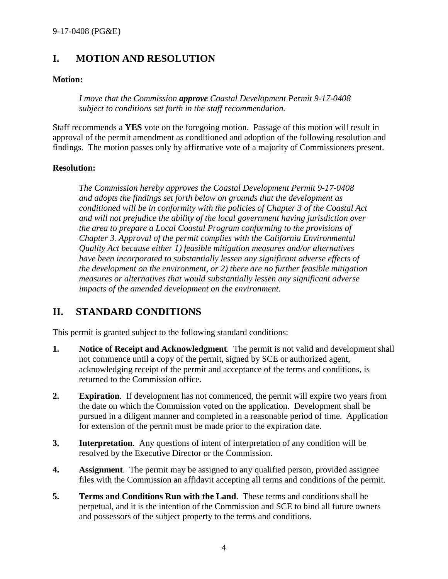# <span id="page-3-0"></span>**I. MOTION AND RESOLUTION**

#### **Motion:**

*I move that the Commission approve Coastal Development Permit 9-17-0408 subject to conditions set forth in the staff recommendation.*

Staff recommends a **YES** vote on the foregoing motion. Passage of this motion will result in approval of the permit amendment as conditioned and adoption of the following resolution and findings. The motion passes only by affirmative vote of a majority of Commissioners present.

#### **Resolution:**

*The Commission hereby approves the Coastal Development Permit 9-17-0408 and adopts the findings set forth below on grounds that the development as conditioned will be in conformity with the policies of Chapter 3 of the Coastal Act and will not prejudice the ability of the local government having jurisdiction over the area to prepare a Local Coastal Program conforming to the provisions of Chapter 3. Approval of the permit complies with the California Environmental Quality Act because either 1) feasible mitigation measures and/or alternatives have been incorporated to substantially lessen any significant adverse effects of the development on the environment, or 2) there are no further feasible mitigation measures or alternatives that would substantially lessen any significant adverse impacts of the amended development on the environment.*

# <span id="page-3-1"></span>**II. STANDARD CONDITIONS**

This permit is granted subject to the following standard conditions:

- **1. Notice of Receipt and Acknowledgment**. The permit is not valid and development shall not commence until a copy of the permit, signed by SCE or authorized agent, acknowledging receipt of the permit and acceptance of the terms and conditions, is returned to the Commission office.
- **2. Expiration**. If development has not commenced, the permit will expire two years from the date on which the Commission voted on the application. Development shall be pursued in a diligent manner and completed in a reasonable period of time. Application for extension of the permit must be made prior to the expiration date.
- **3. Interpretation**. Any questions of intent of interpretation of any condition will be resolved by the Executive Director or the Commission.
- **4. Assignment**. The permit may be assigned to any qualified person, provided assignee files with the Commission an affidavit accepting all terms and conditions of the permit.
- **5. Terms and Conditions Run with the Land**. These terms and conditions shall be perpetual, and it is the intention of the Commission and SCE to bind all future owners and possessors of the subject property to the terms and conditions.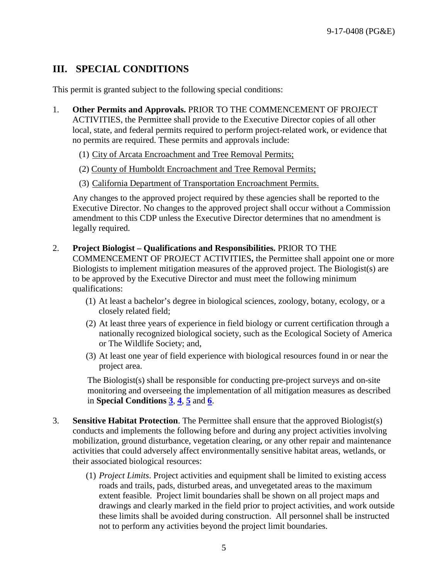# <span id="page-4-1"></span>**III. SPECIAL CONDITIONS**

This permit is granted subject to the following special conditions:

- 1. **Other Permits and Approvals.** PRIOR TO THE COMMENCEMENT OF PROJECT ACTIVITIES, the Permittee shall provide to the Executive Director copies of all other local, state, and federal permits required to perform project-related work, or evidence that no permits are required. These permits and approvals include:
	- (1) City of Arcata Encroachment and Tree Removal Permits;
	- (2) County of Humboldt Encroachment and Tree Removal Permits;
	- (3) California Department of Transportation Encroachment Permits.

Any changes to the approved project required by these agencies shall be reported to the Executive Director. No changes to the approved project shall occur without a Commission amendment to this CDP unless the Executive Director determines that no amendment is legally required.

- <span id="page-4-2"></span>2. **Project Biologist – Qualifications and Responsibilities.** PRIOR TO THE COMMENCEMENT OF PROJECT ACTIVITIES**,** the Permittee shall appoint one or more Biologists to implement mitigation measures of the approved project. The Biologist(s) are to be approved by the Executive Director and must meet the following minimum qualifications:
	- (1) At least a bachelor's degree in biological sciences, zoology, botany, ecology, or a closely related field;
	- (2) At least three years of experience in field biology or current certification through a nationally recognized biological society, such as the Ecological Society of America or The Wildlife Society; and,
	- (3) At least one year of field experience with biological resources found in or near the project area.

The Biologist(s) shall be responsible for conducting pre-project surveys and on-site monitoring and overseeing the implementation of all mitigation measures as described in **Special Conditions [3](#page-4-0)**, **[4](#page-5-0)**, **[5](#page-6-1)** and **[6](#page-6-0)**.

- <span id="page-4-0"></span>3. **Sensitive Habitat Protection**. The Permittee shall ensure that the approved Biologist(s) conducts and implements the following before and during any project activities involving mobilization, ground disturbance, vegetation clearing, or any other repair and maintenance activities that could adversely affect environmentally sensitive habitat areas, wetlands, or their associated biological resources:
	- (1) *Project Limits*. Project activities and equipment shall be limited to existing access roads and trails, pads, disturbed areas, and unvegetated areas to the maximum extent feasible. Project limit boundaries shall be shown on all project maps and drawings and clearly marked in the field prior to project activities, and work outside these limits shall be avoided during construction. All personnel shall be instructed not to perform any activities beyond the project limit boundaries.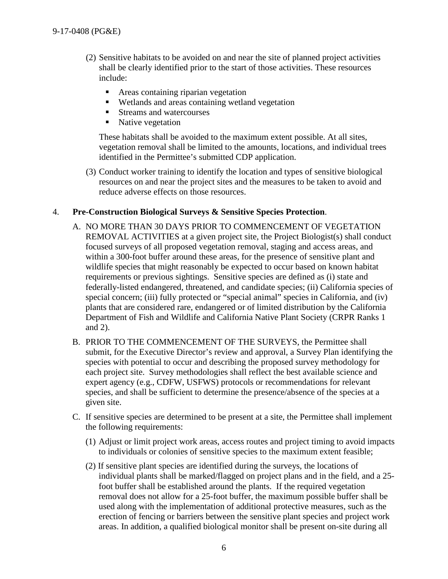- (2) Sensitive habitats to be avoided on and near the site of planned project activities shall be clearly identified prior to the start of those activities. These resources include:
	- **Areas containing riparian vegetation**
	- Wetlands and areas containing wetland vegetation
	- Streams and watercourses
	- Native vegetation

These habitats shall be avoided to the maximum extent possible. At all sites, vegetation removal shall be limited to the amounts, locations, and individual trees identified in the Permittee's submitted CDP application.

(3) Conduct worker training to identify the location and types of sensitive biological resources on and near the project sites and the measures to be taken to avoid and reduce adverse effects on those resources.

#### <span id="page-5-0"></span>4. **Pre-Construction Biological Surveys & Sensitive Species Protection**.

- A. NO MORE THAN 30 DAYS PRIOR TO COMMENCEMENT OF VEGETATION REMOVAL ACTIVITIES at a given project site, the Project Biologist(s) shall conduct focused surveys of all proposed vegetation removal, staging and access areas, and within a 300-foot buffer around these areas, for the presence of sensitive plant and wildlife species that might reasonably be expected to occur based on known habitat requirements or previous sightings. Sensitive species are defined as (i) state and federally-listed endangered, threatened, and candidate species; (ii) California species of special concern; (iii) fully protected or "special animal" species in California, and (iv) plants that are considered rare, endangered or of limited distribution by the California Department of Fish and Wildlife and California Native Plant Society (CRPR Ranks 1 and 2).
- B. PRIOR TO THE COMMENCEMENT OF THE SURVEYS, the Permittee shall submit, for the Executive Director's review and approval, a Survey Plan identifying the species with potential to occur and describing the proposed survey methodology for each project site. Survey methodologies shall reflect the best available science and expert agency (e.g., CDFW, USFWS) protocols or recommendations for relevant species, and shall be sufficient to determine the presence/absence of the species at a given site.
- C. If sensitive species are determined to be present at a site, the Permittee shall implement the following requirements:
	- (1) Adjust or limit project work areas, access routes and project timing to avoid impacts to individuals or colonies of sensitive species to the maximum extent feasible;
	- (2) If sensitive plant species are identified during the surveys, the locations of individual plants shall be marked/flagged on project plans and in the field, and a 25 foot buffer shall be established around the plants. If the required vegetation removal does not allow for a 25-foot buffer, the maximum possible buffer shall be used along with the implementation of additional protective measures, such as the erection of fencing or barriers between the sensitive plant species and project work areas. In addition, a qualified biological monitor shall be present on-site during all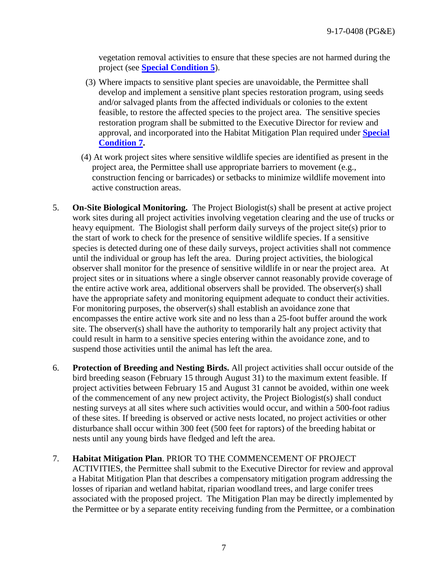vegetation removal activities to ensure that these species are not harmed during the project (see **[Special Condition 5](#page-6-1)**).

- (3) Where impacts to sensitive plant species are unavoidable, the Permittee shall develop and implement a sensitive plant species restoration program, using seeds and/or salvaged plants from the affected individuals or colonies to the extent feasible, to restore the affected species to the project area. The sensitive species restoration program shall be submitted to the Executive Director for review and approval, and incorporated into the Habitat Mitigation Plan required under **[Special](#page-6-2)  [Condition 7.](#page-6-2)**
- (4) At work project sites where sensitive wildlife species are identified as present in the project area, the Permittee shall use appropriate barriers to movement (e.g., construction fencing or barricades) or setbacks to minimize wildlife movement into active construction areas.
- <span id="page-6-1"></span>5. **On-Site Biological Monitoring.** The Project Biologist(s) shall be present at active project work sites during all project activities involving vegetation clearing and the use of trucks or heavy equipment. The Biologist shall perform daily surveys of the project site(s) prior to the start of work to check for the presence of sensitive wildlife species. If a sensitive species is detected during one of these daily surveys, project activities shall not commence until the individual or group has left the area. During project activities, the biological observer shall monitor for the presence of sensitive wildlife in or near the project area. At project sites or in situations where a single observer cannot reasonably provide coverage of the entire active work area, additional observers shall be provided. The observer(s) shall have the appropriate safety and monitoring equipment adequate to conduct their activities. For monitoring purposes, the observer(s) shall establish an avoidance zone that encompasses the entire active work site and no less than a 25-foot buffer around the work site. The observer(s) shall have the authority to temporarily halt any project activity that could result in harm to a sensitive species entering within the avoidance zone, and to suspend those activities until the animal has left the area.
- <span id="page-6-0"></span>6. **Protection of Breeding and Nesting Birds.** All project activities shall occur outside of the bird breeding season (February 15 through August 31) to the maximum extent feasible. If project activities between February 15 and August 31 cannot be avoided, within one week of the commencement of any new project activity, the Project Biologist(s) shall conduct nesting surveys at all sites where such activities would occur, and within a 500-foot radius of these sites. If breeding is observed or active nests located, no project activities or other disturbance shall occur within 300 feet (500 feet for raptors) of the breeding habitat or nests until any young birds have fledged and left the area.

# <span id="page-6-2"></span>7. **Habitat Mitigation Plan**. PRIOR TO THE COMMENCEMENT OF PROJECT

ACTIVITIES, the Permittee shall submit to the Executive Director for review and approval a Habitat Mitigation Plan that describes a compensatory mitigation program addressing the losses of riparian and wetland habitat, riparian woodland trees, and large conifer trees associated with the proposed project. The Mitigation Plan may be directly implemented by the Permittee or by a separate entity receiving funding from the Permittee, or a combination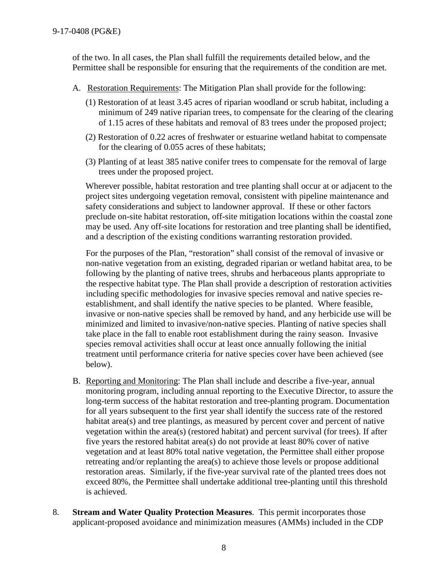of the two. In all cases, the Plan shall fulfill the requirements detailed below, and the Permittee shall be responsible for ensuring that the requirements of the condition are met.

- A. Restoration Requirements: The Mitigation Plan shall provide for the following:
	- (1) Restoration of at least 3.45 acres of riparian woodland or scrub habitat, including a minimum of 249 native riparian trees, to compensate for the clearing of the clearing of 1.15 acres of these habitats and removal of 83 trees under the proposed project;
	- (2) Restoration of 0.22 acres of freshwater or estuarine wetland habitat to compensate for the clearing of 0.055 acres of these habitats;
	- (3) Planting of at least 385 native conifer trees to compensate for the removal of large trees under the proposed project.

Wherever possible, habitat restoration and tree planting shall occur at or adjacent to the project sites undergoing vegetation removal, consistent with pipeline maintenance and safety considerations and subject to landowner approval. If these or other factors preclude on-site habitat restoration, off-site mitigation locations within the coastal zone may be used. Any off-site locations for restoration and tree planting shall be identified, and a description of the existing conditions warranting restoration provided.

For the purposes of the Plan, "restoration" shall consist of the removal of invasive or non-native vegetation from an existing, degraded riparian or wetland habitat area, to be following by the planting of native trees, shrubs and herbaceous plants appropriate to the respective habitat type. The Plan shall provide a description of restoration activities including specific methodologies for invasive species removal and native species reestablishment, and shall identify the native species to be planted. Where feasible, invasive or non-native species shall be removed by hand, and any herbicide use will be minimized and limited to invasive/non-native species. Planting of native species shall take place in the fall to enable root establishment during the rainy season. Invasive species removal activities shall occur at least once annually following the initial treatment until performance criteria for native species cover have been achieved (see below).

- B. Reporting and Monitoring: The Plan shall include and describe a five-year, annual monitoring program, including annual reporting to the Executive Director, to assure the long-term success of the habitat restoration and tree-planting program. Documentation for all years subsequent to the first year shall identify the success rate of the restored habitat area(s) and tree plantings, as measured by percent cover and percent of native vegetation within the area(s) (restored habitat) and percent survival (for trees). If after five years the restored habitat area(s) do not provide at least 80% cover of native vegetation and at least 80% total native vegetation, the Permittee shall either propose retreating and/or replanting the area(s) to achieve those levels or propose additional restoration areas. Similarly, if the five-year survival rate of the planted trees does not exceed 80%, the Permittee shall undertake additional tree-planting until this threshold is achieved.
- <span id="page-7-0"></span>8. **Stream and Water Quality Protection Measures**. This permit incorporates those applicant-proposed avoidance and minimization measures (AMMs) included in the CDP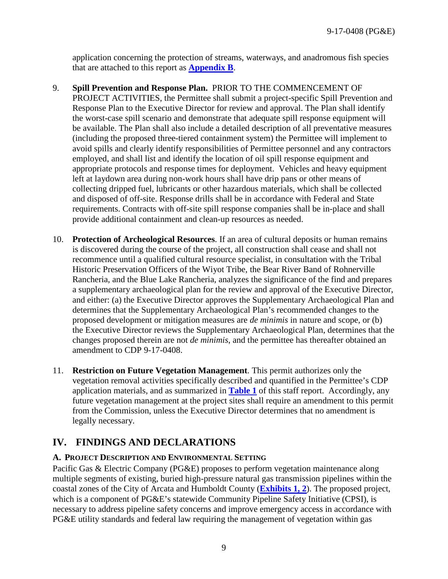application concerning the protection of streams, waterways, and anadromous fish species that are attached to this report as **[Appendix B](#page-28-0)**.

- <span id="page-8-1"></span>9. **Spill Prevention and Response Plan.** PRIOR TO THE COMMENCEMENT OF PROJECT ACTIVITIES, the Permittee shall submit a project-specific Spill Prevention and Response Plan to the Executive Director for review and approval. The Plan shall identify the worst-case spill scenario and demonstrate that adequate spill response equipment will be available. The Plan shall also include a detailed description of all preventative measures (including the proposed three-tiered containment system) the Permittee will implement to avoid spills and clearly identify responsibilities of Permittee personnel and any contractors employed, and shall list and identify the location of oil spill response equipment and appropriate protocols and response times for deployment. Vehicles and heavy equipment left at laydown area during non-work hours shall have drip pans or other means of collecting dripped fuel, lubricants or other hazardous materials, which shall be collected and disposed of off-site. Response drills shall be in accordance with Federal and State requirements. Contracts with off-site spill response companies shall be in-place and shall provide additional containment and clean-up resources as needed.
- <span id="page-8-2"></span>10. **Protection of Archeological Resources**. If an area of cultural deposits or human remains is discovered during the course of the project, all construction shall cease and shall not recommence until a qualified cultural resource specialist, in consultation with the Tribal Historic Preservation Officers of the Wiyot Tribe, the Bear River Band of Rohnerville Rancheria, and the Blue Lake Rancheria, analyzes the significance of the find and prepares a supplementary archaeological plan for the review and approval of the Executive Director, and either: (a) the Executive Director approves the Supplementary Archaeological Plan and determines that the Supplementary Archaeological Plan's recommended changes to the proposed development or mitigation measures are *de minimis* in nature and scope, or (b) the Executive Director reviews the Supplementary Archaeological Plan, determines that the changes proposed therein are not *de minimis*, and the permittee has thereafter obtained an amendment to CDP 9-17-0408.
- <span id="page-8-0"></span>11. **Restriction on Future Vegetation Management**. This permit authorizes only the vegetation removal activities specifically described and quantified in the Permittee's CDP application materials, and as summarized in **[Table 1](#page-10-0)** of this staff report. Accordingly, any future vegetation management at the project sites shall require an amendment to this permit from the Commission, unless the Executive Director determines that no amendment is legally necessary.

# <span id="page-8-3"></span>**IV. FINDINGS AND DECLARATIONS**

# <span id="page-8-4"></span>**A. PROJECT DESCRIPTION AND ENVIRONMENTAL SETTING**

Pacific Gas & Electric Company (PG&E) proposes to perform vegetation maintenance along multiple segments of existing, buried high-pressure natural gas transmission pipelines within the coastal zones of the City of Arcata and Humboldt County (**[Exhibits 1, 2](https://documents.coastal.ca.gov/reports/2017/7/th11a/th11a-7-2017-exhibits.pdf)**). The proposed project, which is a component of PG&E's statewide Community Pipeline Safety Initiative (CPSI), is necessary to address pipeline safety concerns and improve emergency access in accordance with PG&E utility standards and federal law requiring the management of vegetation within gas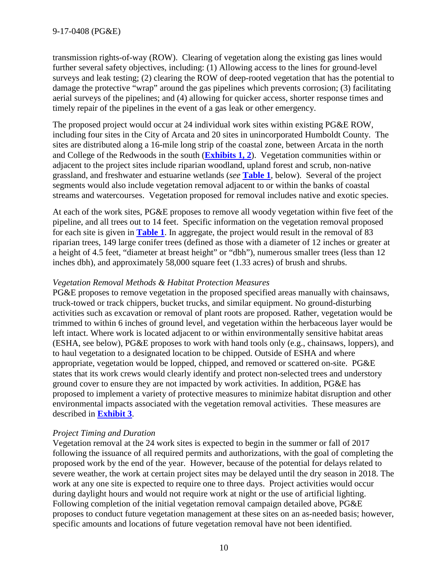transmission rights-of-way (ROW). Clearing of vegetation along the existing gas lines would further several safety objectives, including: (1) Allowing access to the lines for ground-level surveys and leak testing; (2) clearing the ROW of deep-rooted vegetation that has the potential to damage the protective "wrap" around the gas pipelines which prevents corrosion; (3) facilitating aerial surveys of the pipelines; and (4) allowing for quicker access, shorter response times and timely repair of the pipelines in the event of a gas leak or other emergency.

The proposed project would occur at 24 individual work sites within existing PG&E ROW, including four sites in the City of Arcata and 20 sites in unincorporated Humboldt County. The sites are distributed along a 16-mile long strip of the coastal zone, between Arcata in the north and College of the Redwoods in the south (**[Exhibits](https://documents.coastal.ca.gov/reports/2017/7/th11a/th11a-7-2017-exhibits.pdf) 1, 2**). Vegetation communities within or adjacent to the project sites include riparian woodland, upland forest and scrub, non-native grassland, and freshwater and estuarine wetlands (*see* **[Table 1](#page-10-0)**, below). Several of the project segments would also include vegetation removal adjacent to or within the banks of coastal streams and watercourses. Vegetation proposed for removal includes native and exotic species.

At each of the work sites, PG&E proposes to remove all woody vegetation within five feet of the pipeline, and all trees out to 14 feet. Specific information on the vegetation removal proposed for each site is given in **[Table 1](#page-10-0)**. In aggregate, the project would result in the removal of 83 riparian trees, 149 large conifer trees (defined as those with a diameter of 12 inches or greater at a height of 4.5 feet, "diameter at breast height" or "dbh"), numerous smaller trees (less than 12 inches dbh), and approximately 58,000 square feet (1.33 acres) of brush and shrubs.

#### *Vegetation Removal Methods & Habitat Protection Measures*

PG&E proposes to remove vegetation in the proposed specified areas manually with chainsaws, truck-towed or track chippers, bucket trucks, and similar equipment. No ground-disturbing activities such as excavation or removal of plant roots are proposed. Rather, vegetation would be trimmed to within 6 inches of ground level, and vegetation within the herbaceous layer would be left intact. Where work is located adjacent to or within environmentally sensitive habitat areas (ESHA, see below), PG&E proposes to work with hand tools only (e.g., chainsaws, loppers), and to haul vegetation to a designated location to be chipped. Outside of ESHA and where appropriate, vegetation would be lopped, chipped, and removed or scattered on-site. PG&E states that its work crews would clearly identify and protect non-selected trees and understory ground cover to ensure they are not impacted by work activities. In addition, PG&E has proposed to implement a variety of protective measures to minimize habitat disruption and other environmental impacts associated with the vegetation removal activities. These measures are described in **[Exhibit 3](https://documents.coastal.ca.gov/reports/2017/7/th11a/th11a-7-2017-exhibits.pdf)**.

# *Project Timing and Duration*

Vegetation removal at the 24 work sites is expected to begin in the summer or fall of 2017 following the issuance of all required permits and authorizations, with the goal of completing the proposed work by the end of the year. However, because of the potential for delays related to severe weather, the work at certain project sites may be delayed until the dry season in 2018. The work at any one site is expected to require one to three days. Project activities would occur during daylight hours and would not require work at night or the use of artificial lighting. Following completion of the initial vegetation removal campaign detailed above, PG&E proposes to conduct future vegetation management at these sites on an as-needed basis; however, specific amounts and locations of future vegetation removal have not been identified.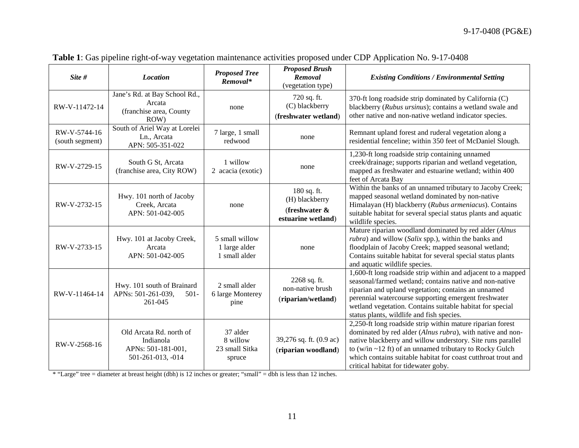<span id="page-10-0"></span>

| Site #                          | <b>Location</b>                                                                 | <b>Proposed Tree</b><br>Removal*                 | <b>Proposed Brush</b><br>Removal<br>(vegetation type)                   | <b>Existing Conditions / Environmental Setting</b>                                                                                                                                                                                                                                                                                                                |
|---------------------------------|---------------------------------------------------------------------------------|--------------------------------------------------|-------------------------------------------------------------------------|-------------------------------------------------------------------------------------------------------------------------------------------------------------------------------------------------------------------------------------------------------------------------------------------------------------------------------------------------------------------|
| RW-V-11472-14                   | Jane's Rd. at Bay School Rd.,<br>Arcata<br>(franchise area, County<br>ROW)      | none                                             | 720 sq. ft.<br>(C) blackberry<br>(freshwater wetland)                   | 370-ft long roadside strip dominated by California (C)<br>blackberry (Rubus ursinus); contains a wetland swale and<br>other native and non-native wetland indicator species.                                                                                                                                                                                      |
| RW-V-5744-16<br>(south segment) | South of Ariel Way at Lorelei<br>Ln., Arcata<br>APN: 505-351-022                | 7 large, 1 small<br>redwood                      | none                                                                    | Remnant upland forest and ruderal vegetation along a<br>residential fenceline; within 350 feet of McDaniel Slough.                                                                                                                                                                                                                                                |
| RW-V-2729-15                    | South G St, Arcata<br>(franchise area, City ROW)                                | 1 willow<br>2 acacia (exotic)                    | none                                                                    | 1,230-ft long roadside strip containing unnamed<br>creek/drainage; supports riparian and wetland vegetation,<br>mapped as freshwater and estuarine wetland; within 400<br>feet of Arcata Bay                                                                                                                                                                      |
| RW-V-2732-15                    | Hwy. 101 north of Jacoby<br>Creek, Arcata<br>APN: 501-042-005                   | none                                             | 180 sq. ft.<br>(H) blackberry<br>(freshwater $\&$<br>estuarine wetland) | Within the banks of an unnamed tributary to Jacoby Creek;<br>mapped seasonal wetland dominated by non-native<br>Himalayan (H) blackberry (Rubus armeniacus). Contains<br>suitable habitat for several special status plants and aquatic<br>wildlife species.                                                                                                      |
| RW-V-2733-15                    | Hwy. 101 at Jacoby Creek,<br>Arcata<br>APN: 501-042-005                         | 5 small willow<br>1 large alder<br>1 small alder | none                                                                    | Mature riparian woodland dominated by red alder (Alnus<br>rubra) and willow (Salix spp.), within the banks and<br>floodplain of Jacoby Creek; mapped seasonal wetland;<br>Contains suitable habitat for several special status plants<br>and aquatic wildlife species.                                                                                            |
| RW-V-11464-14                   | Hwy. 101 south of Brainard<br>APNs: 501-261-039,<br>$501 -$<br>261-045          | 2 small alder<br>6 large Monterey<br>pine        | 2268 sq. ft.<br>non-native brush<br>(riparian/wetland)                  | 1,600-ft long roadside strip within and adjacent to a mapped<br>seasonal/farmed wetland; contains native and non-native<br>riparian and upland vegetation; contains an unnamed<br>perennial watercourse supporting emergent freshwater<br>wetland vegetation. Contains suitable habitat for special<br>status plants, wildlife and fish species.                  |
| RW-V-2568-16                    | Old Arcata Rd. north of<br>Indianola<br>APNs: 501-181-001,<br>501-261-013, -014 | 37 alder<br>8 willow<br>23 small Sitka<br>spruce | 39,276 sq. ft. (0.9 ac)<br>(riparian woodland)                          | 2,250-ft long roadside strip within mature riparian forest<br>dominated by red alder (Alnus rubra), with native and non-<br>native blackberry and willow understory. Site runs parallel<br>to (w/in $\sim$ 12 ft) of an unnamed tributary to Rocky Gulch<br>which contains suitable habitat for coast cutthroat trout and<br>critical habitat for tidewater goby. |

**Table 1**: Gas pipeline right-of-way vegetation maintenance activities proposed under CDP Application No. 9-17-0408

\* "Large" tree = diameter at breast height (dbh) is 12 inches or greater; "small" = dbh is less than 12 inches.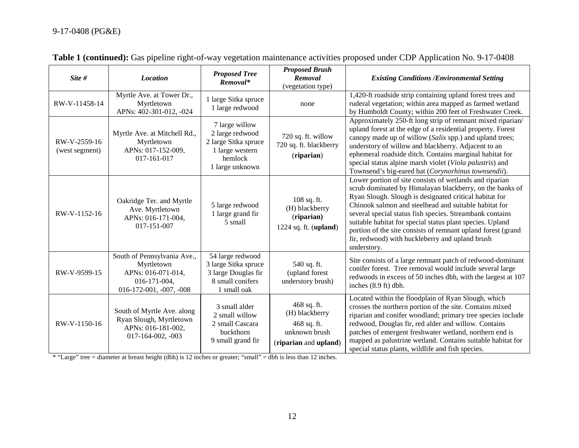| Site #                         | <b>Location</b>                                                                                              | <b>Proposed Tree</b><br>Removal*                                                                           | <b>Proposed Brush</b><br>Removal<br>(vegetation type)                                  | <b>Existing Conditions / Environmental Setting</b>                                                                                                                                                                                                                                                                                                                                                                                                                                                |
|--------------------------------|--------------------------------------------------------------------------------------------------------------|------------------------------------------------------------------------------------------------------------|----------------------------------------------------------------------------------------|---------------------------------------------------------------------------------------------------------------------------------------------------------------------------------------------------------------------------------------------------------------------------------------------------------------------------------------------------------------------------------------------------------------------------------------------------------------------------------------------------|
| RW-V-11458-14                  | Myrtle Ave. at Tower Dr.,<br>Myrtletown<br>APNs: 402-301-012, -024                                           | 1 large Sitka spruce<br>1 large redwood                                                                    | none                                                                                   | 1,420-ft roadside strip containing upland forest trees and<br>ruderal vegetation; within area mapped as farmed wetland<br>by Humboldt County; within 200 feet of Freshwater Creek.                                                                                                                                                                                                                                                                                                                |
| RW-V-2559-16<br>(west segment) | Myrtle Ave. at Mitchell Rd.,<br>Myrtletown<br>APNs: 017-152-009,<br>017-161-017                              | 7 large willow<br>2 large redwood<br>2 large Sitka spruce<br>1 large western<br>hemlock<br>1 large unknown | 720 sq. ft. willow<br>720 sq. ft. blackberry<br>(riparian)                             | Approximately 250-ft long strip of remnant mixed riparian/<br>upland forest at the edge of a residential property. Forest<br>canopy made up of willow (Salix spp.) and upland trees;<br>understory of willow and blackberry. Adjacent to an<br>ephemeral roadside ditch. Contains marginal habitat for<br>special status alpine marsh violet (Viola palustris) and<br>Townsend's big-eared bat (Corynorhinus townsendii).                                                                         |
| RW-V-1152-16                   | Oakridge Ter. and Myrtle<br>Ave. Myrtletown<br>APNs: 016-171-004,<br>017-151-007                             | 5 large redwood<br>1 large grand fir<br>5 small                                                            | $108$ sq. ft.<br>(H) blackberry<br>(riparian)<br>1224 sq. ft. $(upland)$               | Lower portion of site consists of wetlands and riparian<br>scrub dominated by Himalayan blackberry, on the banks of<br>Ryan Slough. Slough is designated critical habitat for<br>Chinook salmon and steelhead and suitable habitat for<br>several special status fish species. Streambank contains<br>suitable habitat for special status plant species. Upland<br>portion of the site consists of remnant upland forest (grand<br>fir, redwood) with huckleberry and upland brush<br>understory. |
| RW-V-9599-15                   | South of Pennsylvania Ave.,<br>Myrtletown<br>APNs: 016-071-014,<br>016-171-004,<br>$016-172-001, -007, -008$ | 54 large redwood<br>3 large Sitka spruce<br>3 large Douglas fir<br>8 small conifers<br>1 small oak         | 540 sq. ft.<br>(upland forest<br>understory brush)                                     | Site consists of a large remnant patch of redwood-dominant<br>conifer forest. Tree removal would include several large<br>redwoods in excess of 50 inches dbh, with the largest at 107<br>inches (8.9 ft) dbh.                                                                                                                                                                                                                                                                                    |
| RW-V-1150-16                   | South of Myrtle Ave. along<br>Ryan Slough, Myrtletown<br>APNs: 016-181-002,<br>017-164-002, -003             | 3 small alder<br>2 small willow<br>2 small Cascara<br>buckthorn<br>9 small grand fir                       | 468 sq. ft.<br>(H) blackberry<br>468 sq. ft.<br>unknown brush<br>(riparian and upland) | Located within the floodplain of Ryan Slough, which<br>crosses the northern portion of the site. Contains mixed<br>riparian and conifer woodland; primary tree species include<br>redwood, Douglas fir, red alder and willow. Contains<br>patches of emergent freshwater wetland, northern end is<br>mapped as palustrine wetland. Contains suitable habitat for<br>special status plants, wildlife and fish species.                                                                             |

|  |  |  |  | Table 1 (continued): Gas pipeline right-of-way vegetation maintenance activities proposed under CDP Application No. 9-17-0408 |  |
|--|--|--|--|-------------------------------------------------------------------------------------------------------------------------------|--|
|--|--|--|--|-------------------------------------------------------------------------------------------------------------------------------|--|

\* "Large" tree = diameter at breast height (dbh) is 12 inches or greater; "small" = dbh is less than 12 inches.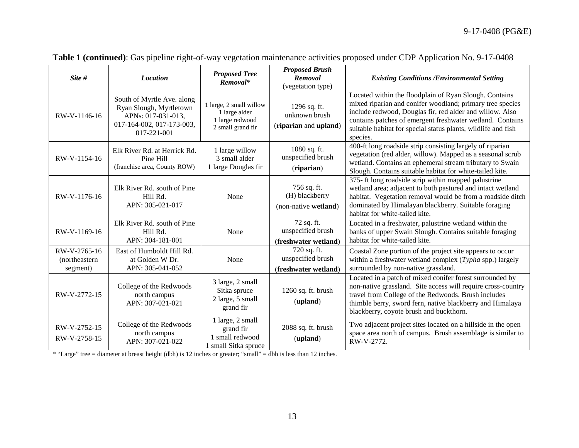| Site #                                     | <b>Location</b>                                                                                                         | <b>Proposed Tree</b><br>Removal*                                                 | <b>Proposed Brush</b><br>Removal<br>(vegetation type)    | <b>Existing Conditions /Environmental Setting</b>                                                                                                                                                                                                                                                                         |
|--------------------------------------------|-------------------------------------------------------------------------------------------------------------------------|----------------------------------------------------------------------------------|----------------------------------------------------------|---------------------------------------------------------------------------------------------------------------------------------------------------------------------------------------------------------------------------------------------------------------------------------------------------------------------------|
| RW-V-1146-16                               | South of Myrtle Ave. along<br>Ryan Slough, Myrtletown<br>APNs: 017-031-013,<br>017-164-002, 017-173-003,<br>017-221-001 | 1 large, 2 small willow<br>1 large alder<br>1 large redwood<br>2 small grand fir | 1296 sq. ft.<br>unknown brush<br>(riparian and upland)   | Located within the floodplain of Ryan Slough. Contains<br>mixed riparian and conifer woodland; primary tree species<br>include redwood, Douglas fir, red alder and willow. Also<br>contains patches of emergent freshwater wetland. Contains<br>suitable habitat for special status plants, wildlife and fish<br>species. |
| RW-V-1154-16                               | Elk River Rd. at Herrick Rd.<br>Pine Hill<br>(franchise area, County ROW)                                               | 1 large willow<br>3 small alder<br>1 large Douglas fir                           | 1080 sq. ft.<br>unspecified brush<br>(riparian)          | 400-ft long roadside strip consisting largely of riparian<br>vegetation (red alder, willow). Mapped as a seasonal scrub<br>wetland. Contains an ephemeral stream tributary to Swain<br>Slough. Contains suitable habitat for white-tailed kite.                                                                           |
| RW-V-1176-16                               | Elk River Rd. south of Pine<br>Hill Rd.<br>APN: 305-021-017                                                             | None                                                                             | 756 sq. ft.<br>(H) blackberry<br>(non-native wetland)    | 375- ft long roadside strip within mapped palustrine<br>wetland area; adjacent to both pastured and intact wetland<br>habitat. Vegetation removal would be from a roadside ditch<br>dominated by Himalayan blackberry. Suitable foraging<br>habitat for white-tailed kite.                                                |
| RW-V-1169-16                               | Elk River Rd. south of Pine<br>Hill Rd.<br>APN: 304-181-001                                                             | None                                                                             | 72 sq. ft.<br>unspecified brush<br>(freshwater wetland)  | Located in a freshwater, palustrine wetland within the<br>banks of upper Swain Slough. Contains suitable foraging<br>habitat for white-tailed kite.                                                                                                                                                                       |
| RW-V-2765-16<br>(northeastern)<br>segment) | East of Humboldt Hill Rd.<br>at Golden W Dr.<br>APN: 305-041-052                                                        | None                                                                             | 720 sq. ft.<br>unspecified brush<br>(freshwater wetland) | Coastal Zone portion of the project site appears to occur<br>within a freshwater wetland complex (Typha spp.) largely<br>surrounded by non-native grassland.                                                                                                                                                              |
| RW-V-2772-15                               | College of the Redwoods<br>north campus<br>APN: 307-021-021                                                             | 3 large, 2 small<br>Sitka spruce<br>2 large, 5 small<br>grand fir                | 1260 sq. ft. brush<br>(upland)                           | Located in a patch of mixed conifer forest surrounded by<br>non-native grassland. Site access will require cross-country<br>travel from College of the Redwoods. Brush includes<br>thimble berry, sword fern, native blackberry and Himalaya<br>blackberry, coyote brush and buckthorn.                                   |
| RW-V-2752-15<br>RW-V-2758-15               | College of the Redwoods<br>north campus<br>APN: 307-021-022                                                             | 1 large, 2 small<br>grand fir<br>1 small redwood<br>1 small Sitka spruce         | 2088 sq. ft. brush<br>(upland)                           | Two adjacent project sites located on a hillside in the open<br>space area north of campus. Brush assemblage is similar to<br>RW-V-2772.                                                                                                                                                                                  |

**Table 1 (continued)**: Gas pipeline right-of-way vegetation maintenance activities proposed under CDP Application No. 9-17-0408

\* "Large" tree = diameter at breast height (dbh) is 12 inches or greater; "small" = dbh is less than 12 inches.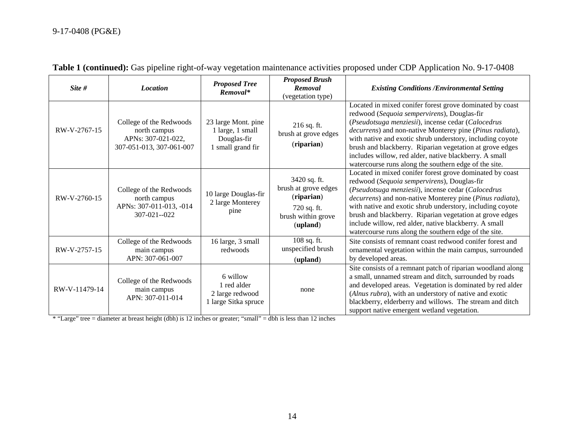| Site #        | <b>Location</b>                                                                           | <b>Proposed Tree</b><br>Removal*                                            | <b>Proposed Brush</b><br>Removal<br>(vegetation type)                                               | <b>Existing Conditions /Environmental Setting</b>                                                                                                                                                                                                                                                                                                                                                                                                                                     |
|---------------|-------------------------------------------------------------------------------------------|-----------------------------------------------------------------------------|-----------------------------------------------------------------------------------------------------|---------------------------------------------------------------------------------------------------------------------------------------------------------------------------------------------------------------------------------------------------------------------------------------------------------------------------------------------------------------------------------------------------------------------------------------------------------------------------------------|
| RW-V-2767-15  | College of the Redwoods<br>north campus<br>APNs: 307-021-022,<br>307-051-013, 307-061-007 | 23 large Mont. pine<br>1 large, 1 small<br>Douglas-fir<br>1 small grand fir | $216$ sq. ft.<br>brush at grove edges<br>(riparian)                                                 | Located in mixed conifer forest grove dominated by coast<br>redwood (Sequoia sempervirens), Douglas-fir<br>(Pseudotsuga menziesii), incense cedar (Calocedrus<br>decurrens) and non-native Monterey pine (Pinus radiata),<br>with native and exotic shrub understory, including coyote<br>brush and blackberry. Riparian vegetation at grove edges<br>includes willow, red alder, native blackberry. A small<br>watercourse runs along the southern edge of the site.                 |
| RW-V-2760-15  | College of the Redwoods<br>north campus<br>APNs: 307-011-013, -014<br>307-021--022        | 10 large Douglas-fir<br>2 large Monterey<br>pine                            | 3420 sq. ft.<br>brush at grove edges<br>(riparian)<br>720 sq. ft.<br>brush within grove<br>(upland) | Located in mixed conifer forest grove dominated by coast<br>redwood (Sequoia sempervirens), Douglas-fir<br>(Pseudotsuga menziesii), incense cedar (Calocedrus<br><i>decurrens</i> ) and non-native Monterey pine ( <i>Pinus radiata</i> ),<br>with native and exotic shrub understory, including coyote<br>brush and blackberry. Riparian vegetation at grove edges<br>include willow, red alder, native blackberry. A small<br>watercourse runs along the southern edge of the site. |
| RW-V-2757-15  | College of the Redwoods<br>main campus<br>APN: 307-061-007                                | 16 large, 3 small<br>redwoods                                               | 108 sq. ft.<br>unspecified brush<br>(upland)                                                        | Site consists of remnant coast redwood conifer forest and<br>ornamental vegetation within the main campus, surrounded<br>by developed areas.                                                                                                                                                                                                                                                                                                                                          |
| RW-V-11479-14 | College of the Redwoods<br>main campus<br>APN: 307-011-014                                | 6 willow<br>1 red alder<br>2 large redwood<br>1 large Sitka spruce          | none                                                                                                | Site consists of a remnant patch of riparian woodland along<br>a small, unnamed stream and ditch, surrounded by roads<br>and developed areas. Vegetation is dominated by red alder<br>(Alnus rubra), with an understory of native and exotic<br>blackberry, elderberry and willows. The stream and ditch<br>support native emergent wetland vegetation.                                                                                                                               |

|  |  |  | Table 1 (continued): Gas pipeline right-of-way vegetation maintenance activities proposed under CDP Application No. 9-17-0408 |  |  |  |  |
|--|--|--|-------------------------------------------------------------------------------------------------------------------------------|--|--|--|--|
|--|--|--|-------------------------------------------------------------------------------------------------------------------------------|--|--|--|--|

\* "Large" tree = diameter at breast height (dbh) is 12 inches or greater; "small" = dbh is less than 12 inches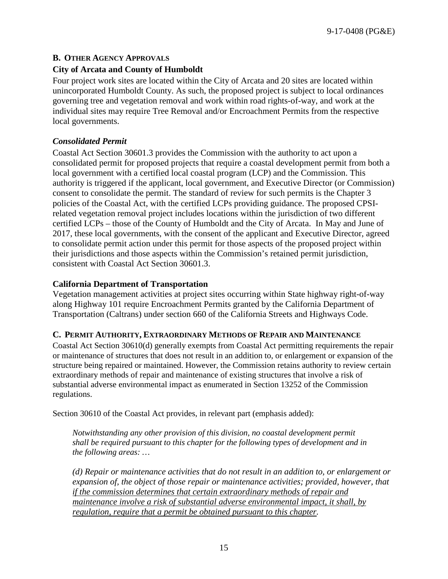# <span id="page-14-0"></span>**B. OTHER AGENCY APPROVALS**

# **City of Arcata and County of Humboldt**

Four project work sites are located within the City of Arcata and 20 sites are located within unincorporated Humboldt County. As such, the proposed project is subject to local ordinances governing tree and vegetation removal and work within road rights-of-way, and work at the individual sites may require Tree Removal and/or Encroachment Permits from the respective local governments.

# *Consolidated Permit*

Coastal Act Section 30601.3 provides the Commission with the authority to act upon a consolidated permit for proposed projects that require a coastal development permit from both a local government with a certified local coastal program (LCP) and the Commission. This authority is triggered if the applicant, local government, and Executive Director (or Commission) consent to consolidate the permit. The standard of review for such permits is the Chapter 3 policies of the Coastal Act, with the certified LCPs providing guidance. The proposed CPSIrelated vegetation removal project includes locations within the jurisdiction of two different certified LCPs – those of the County of Humboldt and the City of Arcata. In May and June of 2017, these local governments, with the consent of the applicant and Executive Director, agreed to consolidate permit action under this permit for those aspects of the proposed project within their jurisdictions and those aspects within the Commission's retained permit jurisdiction, consistent with Coastal Act Section 30601.3.

#### **California Department of Transportation**

Vegetation management activities at project sites occurring within State highway right-of-way along Highway 101 require Encroachment Permits granted by the California Department of Transportation (Caltrans) under section 660 of the California Streets and Highways Code.

# <span id="page-14-1"></span>**C. PERMIT AUTHORITY, EXTRAORDINARY METHODS OF REPAIR AND MAINTENANCE**

Coastal Act Section 30610(d) generally exempts from Coastal Act permitting requirements the repair or maintenance of structures that does not result in an addition to, or enlargement or expansion of the structure being repaired or maintained. However, the Commission retains authority to review certain extraordinary methods of repair and maintenance of existing structures that involve a risk of substantial adverse environmental impact as enumerated in Section 13252 of the Commission regulations.

Section 30610 of the Coastal Act provides, in relevant part (emphasis added):

*Notwithstanding any other provision of this division, no coastal development permit shall be required pursuant to this chapter for the following types of development and in the following areas: …* 

*(d) Repair or maintenance activities that do not result in an addition to, or enlargement or expansion of, the object of those repair or maintenance activities; provided, however, that if the commission determines that certain extraordinary methods of repair and maintenance involve a risk of substantial adverse environmental impact, it shall, by regulation, require that a permit be obtained pursuant to this chapter.*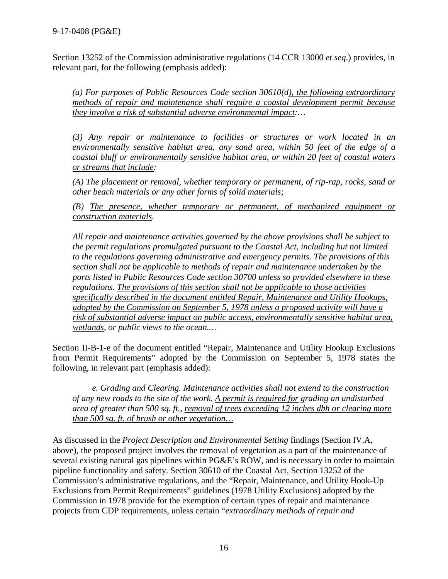Section 13252 of the Commission administrative regulations (14 CCR 13000 *et seq*.) provides, in relevant part, for the following (emphasis added):

*(a) For purposes of Public Resources Code section 30610(d), the following extraordinary methods of repair and maintenance shall require a coastal development permit because they involve a risk of substantial adverse environmental impact:…* 

*(3) Any repair or maintenance to facilities or structures or work located in an environmentally sensitive habitat area, any sand area, within 50 feet of the edge of a coastal bluff or environmentally sensitive habitat area, or within 20 feet of coastal waters or streams that include:* 

*(A) The placement or removal, whether temporary or permanent, of rip-rap, rocks, sand or other beach materials or any other forms of solid materials;* 

*(B) The presence, whether temporary or permanent, of mechanized equipment or construction materials.* 

*All repair and maintenance activities governed by the above provisions shall be subject to the permit regulations promulgated pursuant to the Coastal Act, including but not limited to the regulations governing administrative and emergency permits. The provisions of this section shall not be applicable to methods of repair and maintenance undertaken by the ports listed in Public Resources Code section 30700 unless so provided elsewhere in these regulations. The provisions of this section shall not be applicable to those activities specifically described in the document entitled Repair, Maintenance and Utility Hookups, adopted by the Commission on September 5, 1978 unless a proposed activity will have a risk of substantial adverse impact on public access, environmentally sensitive habitat area, wetlands, or public views to the ocean.…*

Section II-B-1-e of the document entitled "Repair, Maintenance and Utility Hookup Exclusions from Permit Requirements" adopted by the Commission on September 5, 1978 states the following, in relevant part (emphasis added):

*e. Grading and Clearing. Maintenance activities shall not extend to the construction of any new roads to the site of the work. A permit is required for grading an undisturbed area of greater than 500 sq. ft., removal of trees exceeding 12 inches dbh or clearing more than 500 sq. ft. of brush or other vegetation…*

As discussed in the *Project Description and Environmental Setting* findings (Section IV.A, above), the proposed project involves the removal of vegetation as a part of the maintenance of several existing natural gas pipelines within PG&E's ROW, and is necessary in order to maintain pipeline functionality and safety. Section 30610 of the Coastal Act, Section 13252 of the Commission's administrative regulations, and the "Repair, Maintenance, and Utility Hook-Up Exclusions from Permit Requirements" guidelines (1978 Utility Exclusions) adopted by the Commission in 1978 provide for the exemption of certain types of repair and maintenance projects from CDP requirements, unless certain "*extraordinary methods of repair and*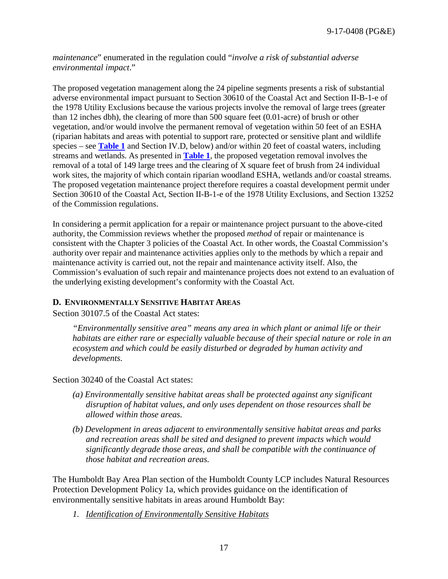*maintenance*" enumerated in the regulation could "*involve a risk of substantial adverse environmental impact*."

The proposed vegetation management along the 24 pipeline segments presents a risk of substantial adverse environmental impact pursuant to Section 30610 of the Coastal Act and Section II-B-1-e of the 1978 Utility Exclusions because the various projects involve the removal of large trees (greater than 12 inches dbh), the clearing of more than 500 square feet (0.01-acre) of brush or other vegetation, and/or would involve the permanent removal of vegetation within 50 feet of an ESHA (riparian habitats and areas with potential to support rare, protected or sensitive plant and wildlife species – see **[Table 1](#page-10-0)** and Section IV.D, below) and/or within 20 feet of coastal waters, including streams and wetlands. As presented in **[Table 1](#page-10-0)**, the proposed vegetation removal involves the removal of a total of 149 large trees and the clearing of  $\overline{X}$  square feet of brush from 24 individual work sites, the majority of which contain riparian woodland ESHA, wetlands and/or coastal streams. The proposed vegetation maintenance project therefore requires a coastal development permit under Section 30610 of the Coastal Act, Section II-B-1-e of the 1978 Utility Exclusions, and Section 13252 of the Commission regulations.

In considering a permit application for a repair or maintenance project pursuant to the above-cited authority, the Commission reviews whether the proposed *method* of repair or maintenance is consistent with the Chapter 3 policies of the Coastal Act. In other words, the Coastal Commission's authority over repair and maintenance activities applies only to the methods by which a repair and maintenance activity is carried out, not the repair and maintenance activity itself. Also, the Commission's evaluation of such repair and maintenance projects does not extend to an evaluation of the underlying existing development's conformity with the Coastal Act.

#### <span id="page-16-0"></span>**D. ENVIRONMENTALLY SENSITIVE HABITAT AREAS**

Section 30107.5 of the Coastal Act states:

*"Environmentally sensitive area" means any area in which plant or animal life or their habitats are either rare or especially valuable because of their special nature or role in an ecosystem and which could be easily disturbed or degraded by human activity and developments.*

Section 30240 of the Coastal Act states:

- *(a) Environmentally sensitive habitat areas shall be protected against any significant disruption of habitat values, and only uses dependent on those resources shall be allowed within those areas.*
- *(b) Development in areas adjacent to environmentally sensitive habitat areas and parks and recreation areas shall be sited and designed to prevent impacts which would significantly degrade those areas, and shall be compatible with the continuance of those habitat and recreation areas.*

The Humboldt Bay Area Plan section of the Humboldt County LCP includes Natural Resources Protection Development Policy 1a, which provides guidance on the identification of environmentally sensitive habitats in areas around Humboldt Bay:

*1. Identification of Environmentally Sensitive Habitats*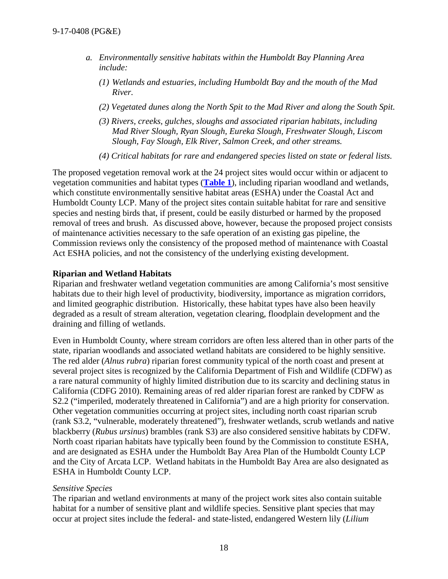- *a. Environmentally sensitive habitats within the Humboldt Bay Planning Area include:*
	- *(1) Wetlands and estuaries, including Humboldt Bay and the mouth of the Mad River.*
	- *(2) Vegetated dunes along the North Spit to the Mad River and along the South Spit.*
	- *(3) Rivers, creeks, gulches, sloughs and associated riparian habitats, including Mad River Slough, Ryan Slough, Eureka Slough, Freshwater Slough, Liscom Slough, Fay Slough, Elk River, Salmon Creek, and other streams.*
	- *(4) Critical habitats for rare and endangered species listed on state or federal lists.*

The proposed vegetation removal work at the 24 project sites would occur within or adjacent to vegetation communities and habitat types (**[Table 1](#page-10-0)**), including riparian woodland and wetlands, which constitute environmentally sensitive habitat areas (ESHA) under the Coastal Act and Humboldt County LCP. Many of the project sites contain suitable habitat for rare and sensitive species and nesting birds that, if present, could be easily disturbed or harmed by the proposed removal of trees and brush. As discussed above, however, because the proposed project consists of maintenance activities necessary to the safe operation of an existing gas pipeline, the Commission reviews only the consistency of the proposed method of maintenance with Coastal Act ESHA policies, and not the consistency of the underlying existing development.

#### **Riparian and Wetland Habitats**

Riparian and freshwater wetland vegetation communities are among California's most sensitive habitats due to their high level of productivity, biodiversity, importance as migration corridors, and limited geographic distribution. Historically, these habitat types have also been heavily degraded as a result of stream alteration, vegetation clearing, floodplain development and the draining and filling of wetlands.

Even in Humboldt County, where stream corridors are often less altered than in other parts of the state, riparian woodlands and associated wetland habitats are considered to be highly sensitive. The red alder (*Alnus rubra*) riparian forest community typical of the north coast and present at several project sites is recognized by the California Department of Fish and Wildlife (CDFW) as a rare natural community of highly limited distribution due to its scarcity and declining status in California (CDFG 2010). Remaining areas of red alder riparian forest are ranked by CDFW as S2.2 ("imperiled, moderately threatened in California") and are a high priority for conservation. Other vegetation communities occurring at project sites, including north coast riparian scrub (rank S3.2, "vulnerable, moderately threatened"), freshwater wetlands, scrub wetlands and native blackberry (*Rubus ursinus*) brambles (rank S3) are also considered sensitive habitats by CDFW. North coast riparian habitats have typically been found by the Commission to constitute ESHA, and are designated as ESHA under the Humboldt Bay Area Plan of the Humboldt County LCP and the City of Arcata LCP. Wetland habitats in the Humboldt Bay Area are also designated as ESHA in Humboldt County LCP.

#### *Sensitive Species*

The riparian and wetland environments at many of the project work sites also contain suitable habitat for a number of sensitive plant and wildlife species. Sensitive plant species that may occur at project sites include the federal- and state-listed, endangered Western lily (*Lilium*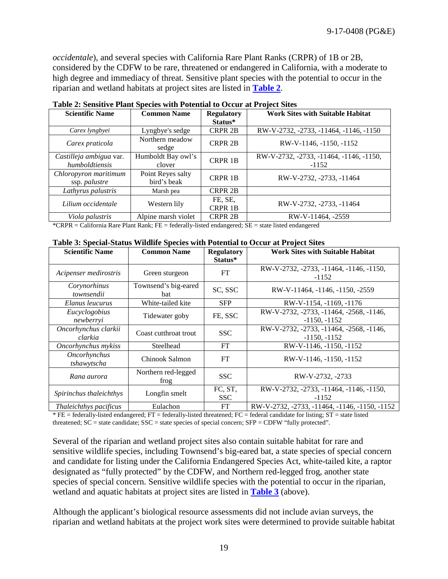*occidentale*), and several species with California Rare Plant Ranks (CRPR) of 1B or 2B, considered by the CDFW to be rare, threatened or endangered in California, with a moderate to high degree and immediacy of threat. Sensitive plant species with the potential to occur in the riparian and wetland habitats at project sites are listed in **[Table 2](#page-18-0)**.

| <b>Scientific Name</b>  | <b>Common Name</b>  | <b>Regulatory</b> | <b>Work Sites with Suitable Habitat</b> |  |
|-------------------------|---------------------|-------------------|-----------------------------------------|--|
|                         |                     | Status*           |                                         |  |
| Carex lyngbyei          | Lyngbye's sedge     | <b>CRPR 2B</b>    | RW-V-2732, -2733, -11464, -1146, -1150  |  |
| Carex praticola         | Northern meadow     | <b>CRPR 2B</b>    | RW-V-1146, -1150, -1152                 |  |
|                         | sedge               |                   |                                         |  |
| Castilleja ambigua var. | Humboldt Bay owl's  | <b>CRPR 1B</b>    | RW-V-2732, -2733, -11464, -1146, -1150, |  |
| humboldtiensis          | clover              |                   | $-1152$                                 |  |
| Chloropyron maritimum   | Point Reyes salty   | <b>CRPR 1B</b>    | RW-V-2732, -2733, -11464                |  |
| ssp. <i>palustre</i>    | bird's beak         |                   |                                         |  |
| Lathyrus palustris      | Marsh pea           | <b>CRPR 2B</b>    |                                         |  |
| Lilium occidentale      |                     | FE, SE,           |                                         |  |
|                         | Western lily        | CRPR 1B           | RW-V-2732, -2733, -11464                |  |
| Viola palustris         | Alpine marsh violet | <b>CRPR 2B</b>    | RW-V-11464, -2559                       |  |

<span id="page-18-0"></span>**Table 2: Sensitive Plant Species with Potential to Occur at Project Sites**

<span id="page-18-1"></span>\*CRPR = California Rare Plant Rank; FE = federally-listed endangered; SE = state listed endangered

|  |  |  |  |  | Table 3: Special-Status Wildlife Species with Potential to Occur at Project Sites |  |
|--|--|--|--|--|-----------------------------------------------------------------------------------|--|
|--|--|--|--|--|-----------------------------------------------------------------------------------|--|

| <b>Scientific Name</b>          | <b>Common Name</b>                 | <b>Regulatory</b><br>Status* | <b>Work Sites with Suitable Habitat</b>                   |
|---------------------------------|------------------------------------|------------------------------|-----------------------------------------------------------|
| Acipenser medirostris           | Green sturgeon                     | FT                           | RW-V-2732, -2733, -11464, -1146, -1150,<br>$-1152$        |
| Corynorhinus<br>townsendii      | Townsend's big-eared<br><b>bat</b> | SC, SSC                      | RW-V-11464, -1146, -1150, -2559                           |
| Elanus leucurus                 | White-tailed kite                  | <b>SFP</b>                   | RW-V-1154, -1169, -1176                                   |
| Eucyclogobius<br>newberryi      | Tidewater goby                     | FE, SSC                      | RW-V-2732, -2733, -11464, -2568, -1146,<br>$-1150, -1152$ |
| Oncorhynchus clarkii<br>clarkia | Coast cutthroat trout              | <b>SSC</b>                   | RW-V-2732, -2733, -11464, -2568, -1146,<br>$-1150, -1152$ |
| Oncorhynchus mykiss             | Steelhead                          | FT                           | RW-V-1146, -1150, -1152                                   |
| Oncorhynchus<br>tshawytscha     | Chinook Salmon                     | FT                           | RW-V-1146, -1150, -1152                                   |
| Rana aurora                     | Northern red-legged<br>frog        | <b>SSC</b>                   | RW-V-2732, -2733                                          |
| Spirinchus thaleichthys         | Longfin smelt                      | FC, ST,<br><b>SSC</b>        | RW-V-2732, -2733, -11464, -1146, -1150,<br>$-1152$        |
| Thaleichthys pacificus          | Eulachon                           | FT                           | RW-V-2732, -2733, -11464, -1146, -1150, -1152             |

 $*$  FE = federally-listed endangered; FT = federally-listed threatened; FC = federal candidate for listing;  $ST$  = state listed threatened;  $SC =$  state candidate;  $SSC =$  state species of special concern;  $SFP = CDFW$  "fully protected".

Several of the riparian and wetland project sites also contain suitable habitat for rare and sensitive wildlife species, including Townsend's big-eared bat, a state species of special concern and candidate for listing under the California Endangered Species Act, white-tailed kite, a raptor designated as "fully protected" by the CDFW, and Northern red-legged frog, another state species of special concern. Sensitive wildlife species with the potential to occur in the riparian, wetland and aquatic habitats at project sites are listed in **[Table 3](#page-18-1)** (above).

Although the applicant's biological resource assessments did not include avian surveys, the riparian and wetland habitats at the project work sites were determined to provide suitable habitat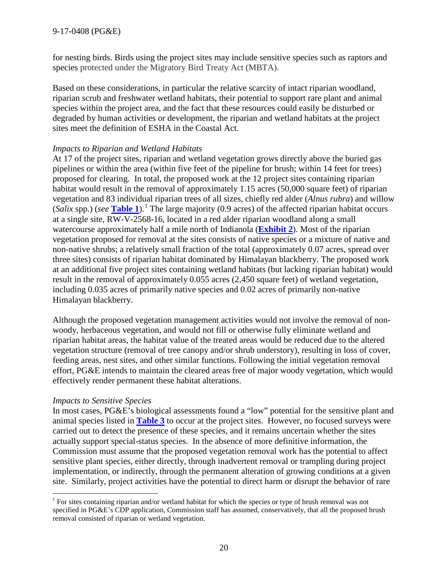for nesting birds. Birds using the project sites may include sensitive species such as raptors and species protected under the Migratory Bird Treaty Act (MBTA).

Based on these considerations, in particular the relative scarcity of intact riparian woodland, riparian scrub and freshwater wetland habitats, their potential to support rare plant and animal species within the project area, and the fact that these resources could easily be disturbed or degraded by human activities or development, the riparian and wetland habitats at the project sites meet the definition of ESHA in the Coastal Act.

#### *Impacts to Riparian and Wetland Habitats*

At 17 of the project sites, riparian and wetland vegetation grows directly above the buried gas pipelines or within the area (within five feet of the pipeline for brush; within 14 feet for trees) proposed for clearing. In total, the proposed work at the 12 project sites containing riparian habitat would result in the removal of approximately 1.15 acres (50,000 square feet) of riparian vegetation and 83 individual riparian trees of all sizes, chiefly red alder (*Alnus rubra*) and willow (*Salix* spp.) (*see* **[Table 1](#page-10-0)**).<sup>[1](#page-19-0)</sup> The large majority (0.9 acres) of the affected riparian habitat occurs at a single site, RW-V-2568-16, located in a red alder riparian woodland along a small watercourse approximately half a mile north of Indianola (**[Exhibit](https://documents.coastal.ca.gov/reports/2017/7/th11a/th11a-7-2017-exhibits.pdf) 2**). Most of the riparian vegetation proposed for removal at the sites consists of native species or a mixture of native and non-native shrubs; a relatively small fraction of the total (approximately 0.07 acres, spread over three sites) consists of riparian habitat dominated by Himalayan blackberry. The proposed work at an additional five project sites containing wetland habitats (but lacking riparian habitat) would result in the removal of approximately 0.055 acres (2,450 square feet) of wetland vegetation, including 0.035 acres of primarily native species and 0.02 acres of primarily non-native Himalayan blackberry.

Although the proposed vegetation management activities would not involve the removal of nonwoody, herbaceous vegetation, and would not fill or otherwise fully eliminate wetland and riparian habitat areas, the habitat value of the treated areas would be reduced due to the altered vegetation structure (removal of tree canopy and/or shrub understory), resulting in loss of cover, feeding areas, nest sites, and other similar functions. Following the initial vegetation removal effort, PG&E intends to maintain the cleared areas free of major woody vegetation, which would effectively render permanent these habitat alterations.

#### *Impacts to Sensitive Species*

In most cases, PG&E's biological assessments found a "low" potential for the sensitive plant and animal species listed in **[Table 3](#page-18-1)** to occur at the project sites. However, no focused surveys were carried out to detect the presence of these species, and it remains uncertain whether the sites actually support special-status species. In the absence of more definitive information, the Commission must assume that the proposed vegetation removal work has the potential to affect sensitive plant species, either directly, through inadvertent removal or trampling during project implementation, or indirectly, through the permanent alteration of growing conditions at a given site. Similarly, project activities have the potential to direct harm or disrupt the behavior of rare

<span id="page-19-0"></span><sup>&</sup>lt;sup>1</sup> For sites containing riparian and/or wetland habitat for which the species or type of brush removal was not specified in PG&E's CDP application, Commission staff has assumed, conservatively, that all the proposed brush removal consisted of riparian or wetland vegetation.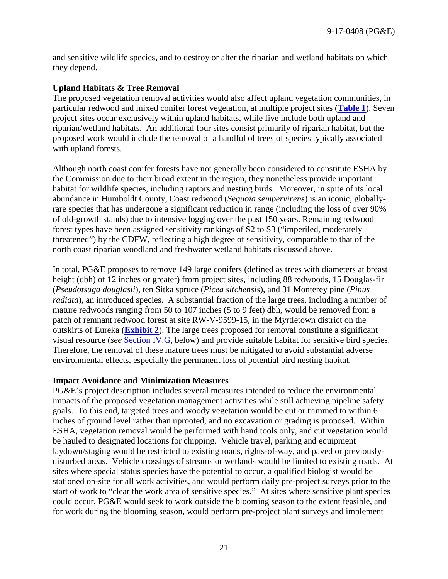and sensitive wildlife species, and to destroy or alter the riparian and wetland habitats on which they depend.

#### **Upland Habitats & Tree Removal**

The proposed vegetation removal activities would also affect upland vegetation communities, in particular redwood and mixed conifer forest vegetation, at multiple project sites (**[Table 1](#page-10-0)**). Seven project sites occur exclusively within upland habitats, while five include both upland and riparian/wetland habitats. An additional four sites consist primarily of riparian habitat, but the proposed work would include the removal of a handful of trees of species typically associated with upland forests.

Although north coast conifer forests have not generally been considered to constitute ESHA by the Commission due to their broad extent in the region, they nonetheless provide important habitat for wildlife species, including raptors and nesting birds. Moreover, in spite of its local abundance in Humboldt County, Coast redwood (*Sequoia sempervirens*) is an iconic, globallyrare species that has undergone a significant reduction in range (including the loss of over 90% of old-growth stands) due to intensive logging over the past 150 years. Remaining redwood forest types have been assigned sensitivity rankings of S2 to S3 ("imperiled, moderately threatened") by the CDFW, reflecting a high degree of sensitivity, comparable to that of the north coast riparian woodland and freshwater wetland habitats discussed above.

In total, PG&E proposes to remove 149 large conifers (defined as trees with diameters at breast height (dbh) of 12 inches or greater) from project sites, including 88 redwoods, 15 Douglas-fir (*Pseudotsuga douglasii*), ten Sitka spruce (*Picea sitchensis*), and 31 Monterey pine (*Pinus radiata*), an introduced species. A substantial fraction of the large trees, including a number of mature redwoods ranging from 50 to 107 inches (5 to 9 feet) dbh, would be removed from a patch of remnant redwood forest at site RW-V-9599-15, in the Myrtletown district on the outskirts of Eureka (**[Exhibit 2](https://documents.coastal.ca.gov/reports/2017/7/th11a/th11a-7-2017-exhibits.pdf)**). The large trees proposed for removal constitute a significant visual resource (*see* [Section IV.G,](#page-25-0) below) and provide suitable habitat for sensitive bird species. Therefore, the removal of these mature trees must be mitigated to avoid substantial adverse environmental effects, especially the permanent loss of potential bird nesting habitat.

#### **Impact Avoidance and Minimization Measures**

PG&E's project description includes several measures intended to reduce the environmental impacts of the proposed vegetation management activities while still achieving pipeline safety goals. To this end, targeted trees and woody vegetation would be cut or trimmed to within 6 inches of ground level rather than uprooted, and no excavation or grading is proposed. Within ESHA, vegetation removal would be performed with hand tools only, and cut vegetation would be hauled to designated locations for chipping. Vehicle travel, parking and equipment laydown/staging would be restricted to existing roads, rights-of-way, and paved or previouslydisturbed areas. Vehicle crossings of streams or wetlands would be limited to existing roads. At sites where special status species have the potential to occur, a qualified biologist would be stationed on-site for all work activities, and would perform daily pre-project surveys prior to the start of work to "clear the work area of sensitive species." At sites where sensitive plant species could occur, PG&E would seek to work outside the blooming season to the extent feasible, and for work during the blooming season, would perform pre-project plant surveys and implement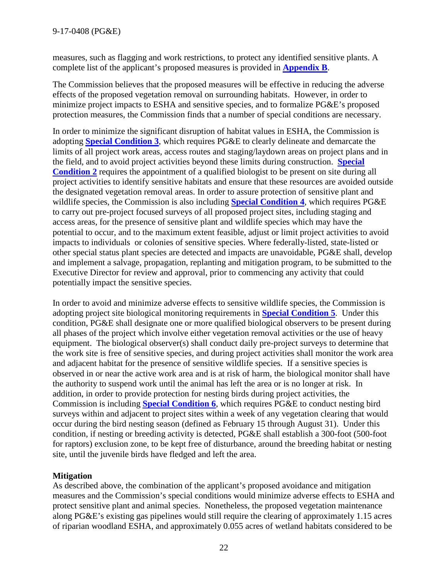measures, such as flagging and work restrictions, to protect any identified sensitive plants. A complete list of the applicant's proposed measures is provided in **[Appendix B](#page-28-0)**.

The Commission believes that the proposed measures will be effective in reducing the adverse effects of the proposed vegetation removal on surrounding habitats. However, in order to minimize project impacts to ESHA and sensitive species, and to formalize PG&E's proposed protection measures, the Commission finds that a number of special conditions are necessary.

In order to minimize the significant disruption of habitat values in ESHA, the Commission is adopting **[Special Condition 3](#page-4-0)**, which requires PG&E to clearly delineate and demarcate the limits of all project work areas, access routes and staging/laydown areas on project plans and in the field, and to avoid project activities beyond these limits during construction. **[Special](#page-4-2)  [Condition 2](#page-4-2)** requires the appointment of a qualified biologist to be present on site during all project activities to identify sensitive habitats and ensure that these resources are avoided outside the designated vegetation removal areas. In order to assure protection of sensitive plant and wildlife species, the Commission is also including **[Special Condition 4](#page-5-0)**, which requires PG&E to carry out pre-project focused surveys of all proposed project sites, including staging and access areas, for the presence of sensitive plant and wildlife species which may have the potential to occur, and to the maximum extent feasible, adjust or limit project activities to avoid impacts to individuals or colonies of sensitive species. Where federally-listed, state-listed or other special status plant species are detected and impacts are unavoidable, PG&E shall, develop and implement a salvage, propagation, replanting and mitigation program, to be submitted to the Executive Director for review and approval, prior to commencing any activity that could potentially impact the sensitive species.

In order to avoid and minimize adverse effects to sensitive wildlife species, the Commission is adopting project site biological monitoring requirements in **[Special Condition 5](#page-6-1)**. Under this condition, PG&E shall designate one or more qualified biological observers to be present during all phases of the project which involve either vegetation removal activities or the use of heavy equipment. The biological observer(s) shall conduct daily pre-project surveys to determine that the work site is free of sensitive species, and during project activities shall monitor the work area and adjacent habitat for the presence of sensitive wildlife species. If a sensitive species is observed in or near the active work area and is at risk of harm, the biological monitor shall have the authority to suspend work until the animal has left the area or is no longer at risk. In addition, in order to provide protection for nesting birds during project activities, the Commission is including **[Special Condition 6](#page-6-0)**, which requires PG&E to conduct nesting bird surveys within and adjacent to project sites within a week of any vegetation clearing that would occur during the bird nesting season (defined as February 15 through August 31). Under this condition, if nesting or breeding activity is detected, PG&E shall establish a 300-foot (500-foot for raptors) exclusion zone, to be kept free of disturbance, around the breeding habitat or nesting site, until the juvenile birds have fledged and left the area.

# **Mitigation**

As described above, the combination of the applicant's proposed avoidance and mitigation measures and the Commission's special conditions would minimize adverse effects to ESHA and protect sensitive plant and animal species. Nonetheless, the proposed vegetation maintenance along PG&E's existing gas pipelines would still require the clearing of approximately 1.15 acres of riparian woodland ESHA, and approximately 0.055 acres of wetland habitats considered to be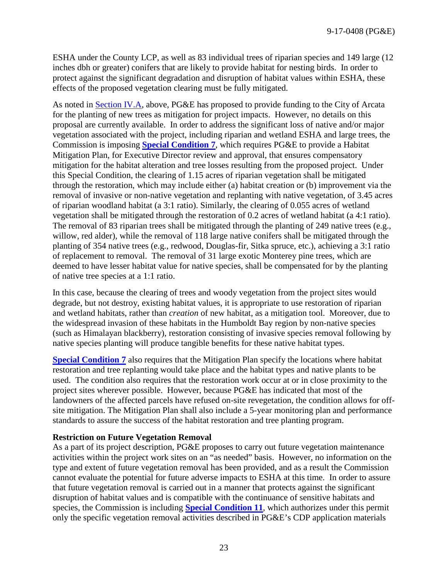ESHA under the County LCP, as well as 83 individual trees of riparian species and 149 large (12 inches dbh or greater) conifers that are likely to provide habitat for nesting birds. In order to protect against the significant degradation and disruption of habitat values within ESHA, these effects of the proposed vegetation clearing must be fully mitigated.

As noted in [Section IV.A,](#page-8-4) above, PG&E has proposed to provide funding to the City of Arcata for the planting of new trees as mitigation for project impacts. However, no details on this proposal are currently available. In order to address the significant loss of native and/or major vegetation associated with the project, including riparian and wetland ESHA and large trees, the Commission is imposing **[Special Condition 7](#page-6-2)**, which requires PG&E to provide a Habitat Mitigation Plan, for Executive Director review and approval, that ensures compensatory mitigation for the habitat alteration and tree losses resulting from the proposed project. Under this Special Condition, the clearing of 1.15 acres of riparian vegetation shall be mitigated through the restoration, which may include either (a) habitat creation or (b) improvement via the removal of invasive or non-native vegetation and replanting with native vegetation, of 3.45 acres of riparian woodland habitat (a 3:1 ratio). Similarly, the clearing of 0.055 acres of wetland vegetation shall be mitigated through the restoration of 0.2 acres of wetland habitat (a 4:1 ratio). The removal of 83 riparian trees shall be mitigated through the planting of 249 native trees (e.g., willow, red alder), while the removal of 118 large native conifers shall be mitigated through the planting of 354 native trees (e.g., redwood, Douglas-fir, Sitka spruce, etc.), achieving a 3:1 ratio of replacement to removal. The removal of 31 large exotic Monterey pine trees, which are deemed to have lesser habitat value for native species, shall be compensated for by the planting of native tree species at a 1:1 ratio.

In this case, because the clearing of trees and woody vegetation from the project sites would degrade, but not destroy, existing habitat values, it is appropriate to use restoration of riparian and wetland habitats, rather than *creation* of new habitat, as a mitigation tool. Moreover, due to the widespread invasion of these habitats in the Humboldt Bay region by non-native species (such as Himalayan blackberry), restoration consisting of invasive species removal following by native species planting will produce tangible benefits for these native habitat types.

**[Special Condition 7](#page-6-2)** also requires that the Mitigation Plan specify the locations where habitat restoration and tree replanting would take place and the habitat types and native plants to be used. The condition also requires that the restoration work occur at or in close proximity to the project sites wherever possible. However, because PG&E has indicated that most of the landowners of the affected parcels have refused on-site revegetation, the condition allows for offsite mitigation. The Mitigation Plan shall also include a 5-year monitoring plan and performance standards to assure the success of the habitat restoration and tree planting program.

# **Restriction on Future Vegetation Removal**

As a part of its project description, PG&E proposes to carry out future vegetation maintenance activities within the project work sites on an "as needed" basis. However, no information on the type and extent of future vegetation removal has been provided, and as a result the Commission cannot evaluate the potential for future adverse impacts to ESHA at this time. In order to assure that future vegetation removal is carried out in a manner that protects against the significant disruption of habitat values and is compatible with the continuance of sensitive habitats and species, the Commission is including **[Special Condition 11](#page-8-0)**, which authorizes under this permit only the specific vegetation removal activities described in PG&E's CDP application materials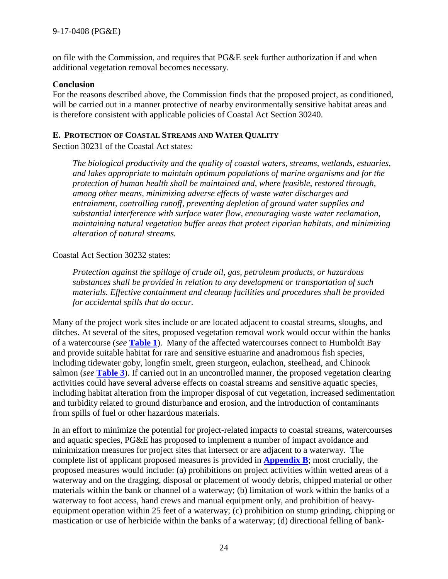on file with the Commission, and requires that PG&E seek further authorization if and when additional vegetation removal becomes necessary.

#### **Conclusion**

For the reasons described above, the Commission finds that the proposed project, as conditioned, will be carried out in a manner protective of nearby environmentally sensitive habitat areas and is therefore consistent with applicable policies of Coastal Act Section 30240.

# <span id="page-23-0"></span>**E. PROTECTION OF COASTAL STREAMS AND WATER QUALITY**

Section 30231 of the Coastal Act states:

*The biological productivity and the quality of coastal waters, streams, wetlands, estuaries, and lakes appropriate to maintain optimum populations of marine organisms and for the protection of human health shall be maintained and, where feasible, restored through, among other means, minimizing adverse effects of waste water discharges and entrainment, controlling runoff, preventing depletion of ground water supplies and substantial interference with surface water flow, encouraging waste water reclamation, maintaining natural vegetation buffer areas that protect riparian habitats, and minimizing alteration of natural streams.*

#### Coastal Act Section 30232 states:

*Protection against the spillage of crude oil, gas, petroleum products, or hazardous substances shall be provided in relation to any development or transportation of such materials. Effective containment and cleanup facilities and procedures shall be provided for accidental spills that do occur.*

Many of the project work sites include or are located adjacent to coastal streams, sloughs, and ditches. At several of the sites, proposed vegetation removal work would occur within the banks of a watercourse (*see* **[Table 1](#page-10-0)**). Many of the affected watercourses connect to Humboldt Bay and provide suitable habitat for rare and sensitive estuarine and anadromous fish species, including tidewater goby, longfin smelt, green sturgeon, eulachon, steelhead, and Chinook salmon (*see* **[Table 3](#page-18-1)**). If carried out in an uncontrolled manner, the proposed vegetation clearing activities could have several adverse effects on coastal streams and sensitive aquatic species, including habitat alteration from the improper disposal of cut vegetation, increased sedimentation and turbidity related to ground disturbance and erosion, and the introduction of contaminants from spills of fuel or other hazardous materials.

In an effort to minimize the potential for project-related impacts to coastal streams, watercourses and aquatic species, PG&E has proposed to implement a number of impact avoidance and minimization measures for project sites that intersect or are adjacent to a waterway. The complete list of applicant proposed measures is provided in **[Appendix B](#page-28-0)**; most crucially, the proposed measures would include: (a) prohibitions on project activities within wetted areas of a waterway and on the dragging, disposal or placement of woody debris, chipped material or other materials within the bank or channel of a waterway; (b) limitation of work within the banks of a waterway to foot access, hand crews and manual equipment only, and prohibition of heavyequipment operation within 25 feet of a waterway; (c) prohibition on stump grinding, chipping or mastication or use of herbicide within the banks of a waterway; (d) directional felling of bank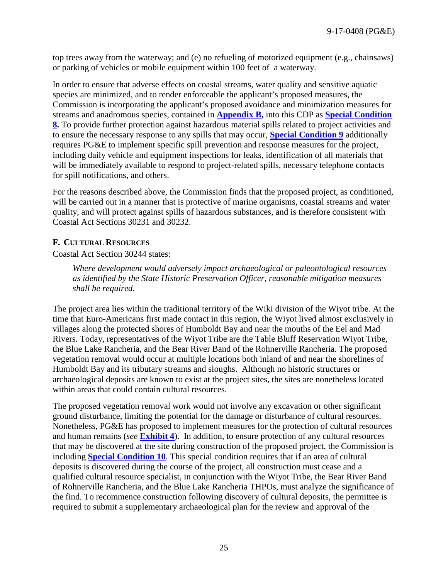top trees away from the waterway; and (e) no refueling of motorized equipment (e.g., chainsaws) or parking of vehicles or mobile equipment within 100 feet of a waterway.

In order to ensure that adverse effects on coastal streams, water quality and sensitive aquatic species are minimized, and to render enforceable the applicant's proposed measures, the Commission is incorporating the applicant's proposed avoidance and minimization measures for streams and anadromous species, contained in **[Appendix B,](#page-28-0)** into this CDP as **[Special Condition](#page-7-0)  [8.](#page-7-0)** To provide further protection against hazardous material spills related to project activities and to ensure the necessary response to any spills that may occur, **[Special Condition 9](#page-8-1)** additionally requires PG&E to implement specific spill prevention and response measures for the project, including daily vehicle and equipment inspections for leaks, identification of all materials that will be immediately available to respond to project-related spills, necessary telephone contacts for spill notifications, and others.

For the reasons described above, the Commission finds that the proposed project, as conditioned, will be carried out in a manner that is protective of marine organisms, coastal streams and water quality, and will protect against spills of hazardous substances, and is therefore consistent with Coastal Act Sections 30231 and 30232.

#### <span id="page-24-0"></span>**F. CULTURAL RESOURCES**

Coastal Act Section 30244 states:

*Where development would adversely impact archaeological or paleontological resources as identified by the State Historic Preservation Officer, reasonable mitigation measures shall be required.*

The project area lies within the traditional territory of the Wiki division of the Wiyot tribe. At the time that Euro-Americans first made contact in this region, the Wiyot lived almost exclusively in villages along the protected shores of Humboldt Bay and near the mouths of the Eel and Mad Rivers. Today, representatives of the Wiyot Tribe are the Table Bluff Reservation Wiyot Tribe, the Blue Lake Rancheria, and the Bear River Band of the Rohnerville Rancheria. The proposed vegetation removal would occur at multiple locations both inland of and near the shorelines of Humboldt Bay and its tributary streams and sloughs. Although no historic structures or archaeological deposits are known to exist at the project sites, the sites are nonetheless located within areas that could contain cultural resources.

The proposed vegetation removal work would not involve any excavation or other significant ground disturbance, limiting the potential for the damage or disturbance of cultural resources. Nonetheless, PG&E has proposed to implement measures for the protection of cultural resources and human remains (*see* **[Exhibit 4](https://documents.coastal.ca.gov/reports/2017/7/th11a/th11a-7-2017-exhibits.pdf)**). In addition, to ensure protection of any cultural resources that may be discovered at the site during construction of the proposed project, the Commission is including **[Special Condition 10](#page-8-2)**. This special condition requires that if an area of cultural deposits is discovered during the course of the project, all construction must cease and a qualified cultural resource specialist, in conjunction with the Wiyot Tribe, the Bear River Band of Rohnerville Rancheria, and the Blue Lake Rancheria THPOs, must analyze the significance of the find. To recommence construction following discovery of cultural deposits, the permittee is required to submit a supplementary archaeological plan for the review and approval of the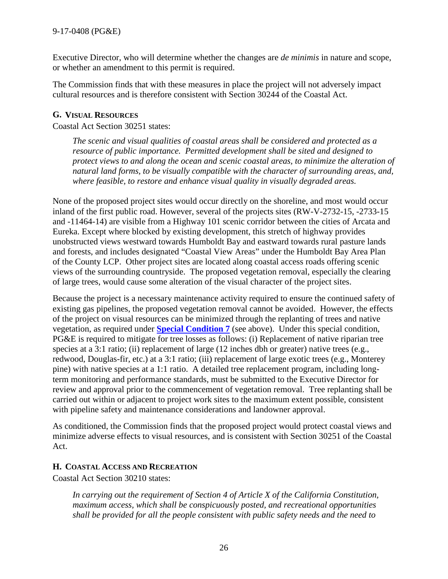Executive Director, who will determine whether the changes are *de minimis* in nature and scope, or whether an amendment to this permit is required.

The Commission finds that with these measures in place the project will not adversely impact cultural resources and is therefore consistent with Section 30244 of the Coastal Act.

## <span id="page-25-0"></span>**G. VISUAL RESOURCES**

Coastal Act Section 30251 states:

*The scenic and visual qualities of coastal areas shall be considered and protected as a resource of public importance. Permitted development shall be sited and designed to protect views to and along the ocean and scenic coastal areas, to minimize the alteration of natural land forms, to be visually compatible with the character of surrounding areas, and, where feasible, to restore and enhance visual quality in visually degraded areas.*

None of the proposed project sites would occur directly on the shoreline, and most would occur inland of the first public road. However, several of the projects sites (RW-V-2732-15, -2733-15 and -11464-14) are visible from a Highway 101 scenic corridor between the cities of Arcata and Eureka. Except where blocked by existing development, this stretch of highway provides unobstructed views westward towards Humboldt Bay and eastward towards rural pasture lands and forests, and includes designated "Coastal View Areas" under the Humboldt Bay Area Plan of the County LCP. Other project sites are located along coastal access roads offering scenic views of the surrounding countryside. The proposed vegetation removal, especially the clearing of large trees, would cause some alteration of the visual character of the project sites.

Because the project is a necessary maintenance activity required to ensure the continued safety of existing gas pipelines, the proposed vegetation removal cannot be avoided. However, the effects of the project on visual resources can be minimized through the replanting of trees and native vegetation, as required under **[Special Condition 7](#page-6-2)** (see above). Under this special condition, PG&E is required to mitigate for tree losses as follows: (i) Replacement of native riparian tree species at a 3:1 ratio; (ii) replacement of large (12 inches dbh or greater) native trees (e.g., redwood, Douglas-fir, etc.) at a 3:1 ratio; (iii) replacement of large exotic trees (e.g., Monterey pine) with native species at a 1:1 ratio. A detailed tree replacement program, including longterm monitoring and performance standards, must be submitted to the Executive Director for review and approval prior to the commencement of vegetation removal. Tree replanting shall be carried out within or adjacent to project work sites to the maximum extent possible, consistent with pipeline safety and maintenance considerations and landowner approval.

As conditioned, the Commission finds that the proposed project would protect coastal views and minimize adverse effects to visual resources, and is consistent with Section 30251 of the Coastal Act.

#### <span id="page-25-1"></span>**H. COASTAL ACCESS AND RECREATION**

Coastal Act Section 30210 states:

*In carrying out the requirement of Section 4 of Article X of the California Constitution, maximum access, which shall be conspicuously posted, and recreational opportunities shall be provided for all the people consistent with public safety needs and the need to*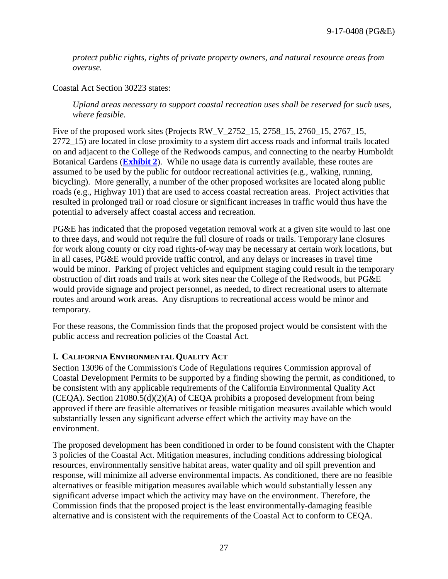*protect public rights, rights of private property owners, and natural resource areas from overuse.*

Coastal Act Section 30223 states:

*Upland areas necessary to support coastal recreation uses shall be reserved for such uses, where feasible.*

Five of the proposed work sites (Projects RW\_V\_2752\_15, 2758\_15, 2760\_15, 2767\_15, 2772\_15) are located in close proximity to a system dirt access roads and informal trails located on and adjacent to the College of the Redwoods campus, and connecting to the nearby Humboldt Botanical Gardens (**[Exhibit 2](https://documents.coastal.ca.gov/reports/2017/7/th11a/th11a-7-2017-exhibits.pdf)**). While no usage data is currently available, these routes are assumed to be used by the public for outdoor recreational activities (e.g., walking, running, bicycling). More generally, a number of the other proposed worksites are located along public roads (e.g., Highway 101) that are used to access coastal recreation areas. Project activities that resulted in prolonged trail or road closure or significant increases in traffic would thus have the potential to adversely affect coastal access and recreation.

PG&E has indicated that the proposed vegetation removal work at a given site would to last one to three days, and would not require the full closure of roads or trails. Temporary lane closures for work along county or city road rights-of-way may be necessary at certain work locations, but in all cases, PG&E would provide traffic control, and any delays or increases in travel time would be minor. Parking of project vehicles and equipment staging could result in the temporary obstruction of dirt roads and trails at work sites near the College of the Redwoods, but PG&E would provide signage and project personnel, as needed, to direct recreational users to alternate routes and around work areas. Any disruptions to recreational access would be minor and temporary.

For these reasons, the Commission finds that the proposed project would be consistent with the public access and recreation policies of the Coastal Act.

#### <span id="page-26-0"></span>**I. CALIFORNIA ENVIRONMENTAL QUALITY ACT**

Section 13096 of the Commission's Code of Regulations requires Commission approval of Coastal Development Permits to be supported by a finding showing the permit, as conditioned, to be consistent with any applicable requirements of the California Environmental Quality Act (CEQA). Section 21080.5(d)(2)(A) of CEQA prohibits a proposed development from being approved if there are feasible alternatives or feasible mitigation measures available which would substantially lessen any significant adverse effect which the activity may have on the environment.

The proposed development has been conditioned in order to be found consistent with the Chapter 3 policies of the Coastal Act. Mitigation measures, including conditions addressing biological resources, environmentally sensitive habitat areas, water quality and oil spill prevention and response, will minimize all adverse environmental impacts. As conditioned, there are no feasible alternatives or feasible mitigation measures available which would substantially lessen any significant adverse impact which the activity may have on the environment. Therefore, the Commission finds that the proposed project is the least environmentally-damaging feasible alternative and is consistent with the requirements of the Coastal Act to conform to CEQA.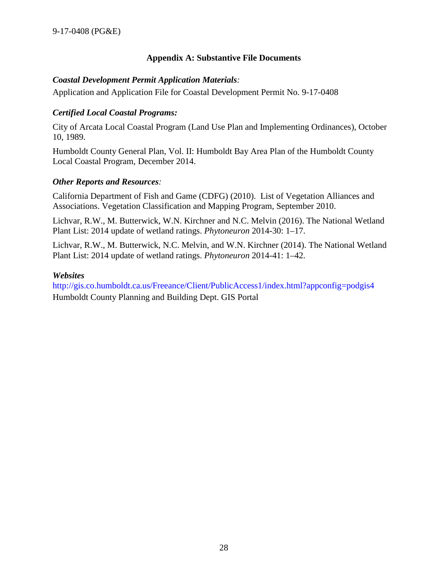# **Appendix A: Substantive File Documents**

#### <span id="page-27-0"></span>*Coastal Development Permit Application Materials:*

Application and Application File for Coastal Development Permit No. 9-17-0408

# *Certified Local Coastal Programs:*

City of Arcata Local Coastal Program (Land Use Plan and Implementing Ordinances), October 10, 1989.

Humboldt County General Plan, Vol. II: Humboldt Bay Area Plan of the Humboldt County Local Coastal Program, December 2014.

#### *Other Reports and Resources:*

California Department of Fish and Game (CDFG) (2010). List of Vegetation Alliances and Associations. Vegetation Classification and Mapping Program, September 2010.

Lichvar, R.W., M. Butterwick, W.N. Kirchner and N.C. Melvin (2016). The National Wetland Plant List: 2014 update of wetland ratings. *Phytoneuron* 2014-30: 1–17.

Lichvar, R.W., M. Butterwick, N.C. Melvin, and W.N. Kirchner (2014). The National Wetland Plant List: 2014 update of wetland ratings. *Phytoneuron* 2014-41: 1–42.

#### *Websites*

http://gis.co.humboldt.ca.us/Freeance/Client/PublicAccess1/index.html?appconfig=podgis4 Humboldt County Planning and Building Dept. GIS Portal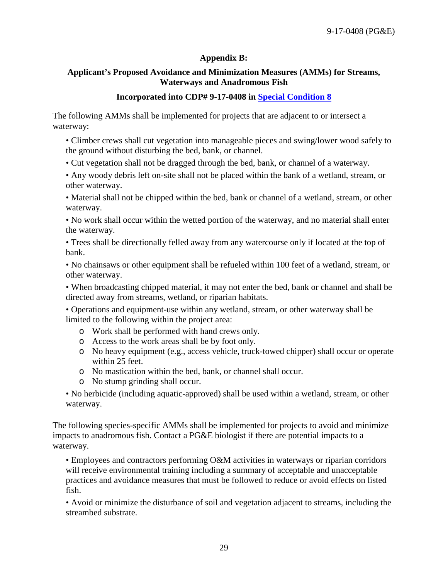# **Appendix B:**

# <span id="page-28-0"></span>**Applicant's Proposed Avoidance and Minimization Measures (AMMs) for Streams, Waterways and Anadromous Fish**

## **Incorporated into CDP# 9-17-0408 in [Special Condition 8](#page-7-0)**

The following AMMs shall be implemented for projects that are adjacent to or intersect a waterway:

• Climber crews shall cut vegetation into manageable pieces and swing/lower wood safely to the ground without disturbing the bed, bank, or channel.

• Cut vegetation shall not be dragged through the bed, bank, or channel of a waterway.

• Any woody debris left on-site shall not be placed within the bank of a wetland, stream, or other waterway.

• Material shall not be chipped within the bed, bank or channel of a wetland, stream, or other waterway.

• No work shall occur within the wetted portion of the waterway, and no material shall enter the waterway.

• Trees shall be directionally felled away from any watercourse only if located at the top of bank.

• No chainsaws or other equipment shall be refueled within 100 feet of a wetland, stream, or other waterway.

• When broadcasting chipped material, it may not enter the bed, bank or channel and shall be directed away from streams, wetland, or riparian habitats.

• Operations and equipment-use within any wetland, stream, or other waterway shall be limited to the following within the project area:

- o Work shall be performed with hand crews only.
- o Access to the work areas shall be by foot only.
- o No heavy equipment (e.g., access vehicle, truck-towed chipper) shall occur or operate within 25 feet.
- o No mastication within the bed, bank, or channel shall occur.
- o No stump grinding shall occur.

• No herbicide (including aquatic-approved) shall be used within a wetland, stream, or other waterway.

The following species-specific AMMs shall be implemented for projects to avoid and minimize impacts to anadromous fish. Contact a PG&E biologist if there are potential impacts to a waterway.

• Employees and contractors performing O&M activities in waterways or riparian corridors will receive environmental training including a summary of acceptable and unacceptable practices and avoidance measures that must be followed to reduce or avoid effects on listed fish.

• Avoid or minimize the disturbance of soil and vegetation adjacent to streams, including the streambed substrate.